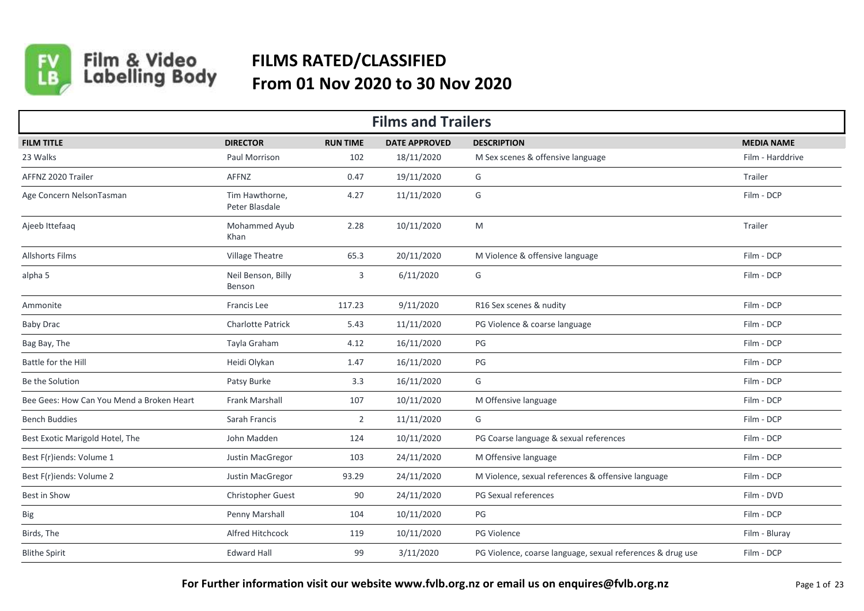

Film & Video<br>Labelling Body

## **FILMS RATED/CLASSIFIED From 01 Nov 2020 to 30 Nov 2020**

| <b>Films and Trailers</b>                 |                                  |                 |                      |                                                            |                   |  |  |  |  |
|-------------------------------------------|----------------------------------|-----------------|----------------------|------------------------------------------------------------|-------------------|--|--|--|--|
| <b>FILM TITLE</b>                         | <b>DIRECTOR</b>                  | <b>RUN TIME</b> | <b>DATE APPROVED</b> | <b>DESCRIPTION</b>                                         | <b>MEDIA NAME</b> |  |  |  |  |
| 23 Walks                                  | Paul Morrison                    | 102             | 18/11/2020           | M Sex scenes & offensive language                          | Film - Harddrive  |  |  |  |  |
| AFFNZ 2020 Trailer                        | AFFNZ                            | 0.47            | 19/11/2020           | G                                                          | Trailer           |  |  |  |  |
| Age Concern NelsonTasman                  | Tim Hawthorne,<br>Peter Blasdale | 4.27            | 11/11/2020           | G                                                          | Film - DCP        |  |  |  |  |
| Ajeeb Ittefaaq                            | Mohammed Ayub<br>Khan            | 2.28            | 10/11/2020           | M                                                          | Trailer           |  |  |  |  |
| <b>Allshorts Films</b>                    | Village Theatre                  | 65.3            | 20/11/2020           | M Violence & offensive language                            | Film - DCP        |  |  |  |  |
| alpha 5                                   | Neil Benson, Billy<br>Benson     | 3               | 6/11/2020            | G                                                          | Film - DCP        |  |  |  |  |
| Ammonite                                  | Francis Lee                      | 117.23          | 9/11/2020            | R16 Sex scenes & nudity                                    | Film - DCP        |  |  |  |  |
| <b>Baby Drac</b>                          | <b>Charlotte Patrick</b>         | 5.43            | 11/11/2020           | PG Violence & coarse language                              | Film - DCP        |  |  |  |  |
| Bag Bay, The                              | Tayla Graham                     | 4.12            | 16/11/2020           | PG                                                         | Film - DCP        |  |  |  |  |
| Battle for the Hill                       | Heidi Olykan                     | 1.47            | 16/11/2020           | PG                                                         | Film - DCP        |  |  |  |  |
| Be the Solution                           | Patsy Burke                      | 3.3             | 16/11/2020           | G                                                          | Film - DCP        |  |  |  |  |
| Bee Gees: How Can You Mend a Broken Heart | Frank Marshall                   | 107             | 10/11/2020           | M Offensive language                                       | Film - DCP        |  |  |  |  |
| <b>Bench Buddies</b>                      | Sarah Francis                    | $\overline{2}$  | 11/11/2020           | G                                                          | Film - DCP        |  |  |  |  |
| Best Exotic Marigold Hotel, The           | John Madden                      | 124             | 10/11/2020           | PG Coarse language & sexual references                     | Film - DCP        |  |  |  |  |
| Best F(r)iends: Volume 1                  | Justin MacGregor                 | 103             | 24/11/2020           | M Offensive language                                       | Film - DCP        |  |  |  |  |
| Best F(r)iends: Volume 2                  | Justin MacGregor                 | 93.29           | 24/11/2020           | M Violence, sexual references & offensive language         | Film - DCP        |  |  |  |  |
| Best in Show                              | Christopher Guest                | 90              | 24/11/2020           | PG Sexual references                                       | Film - DVD        |  |  |  |  |
| Big                                       | Penny Marshall                   | 104             | 10/11/2020           | PG                                                         | Film - DCP        |  |  |  |  |
| Birds, The                                | Alfred Hitchcock                 | 119             | 10/11/2020           | PG Violence                                                | Film - Bluray     |  |  |  |  |
| <b>Blithe Spirit</b>                      | <b>Edward Hall</b>               | 99              | 3/11/2020            | PG Violence, coarse language, sexual references & drug use | Film - DCP        |  |  |  |  |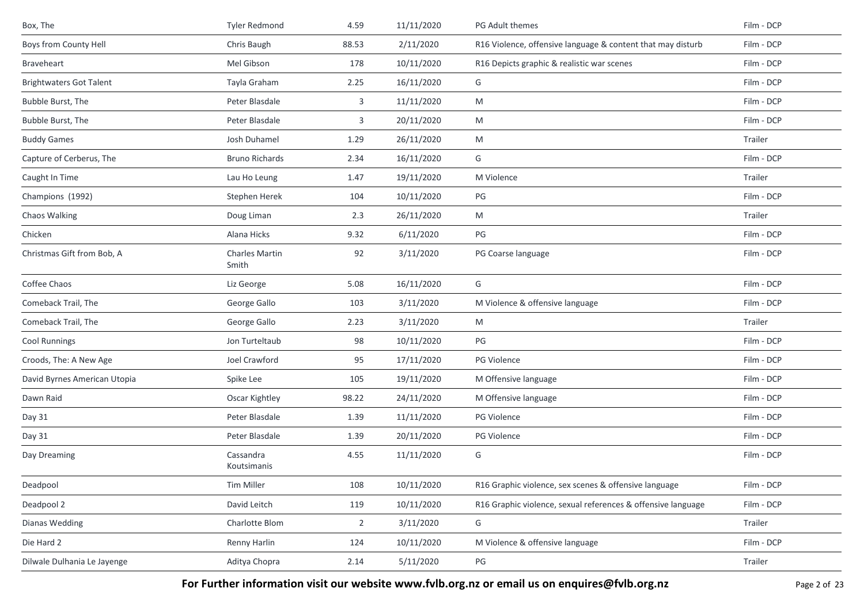| Box, The                       | <b>Tyler Redmond</b>           | 4.59           | 11/11/2020 | PG Adult themes                                              | Film - DCP |
|--------------------------------|--------------------------------|----------------|------------|--------------------------------------------------------------|------------|
| Boys from County Hell          | Chris Baugh                    | 88.53          | 2/11/2020  | R16 Violence, offensive language & content that may disturb  | Film - DCP |
| Braveheart                     | Mel Gibson                     | 178            | 10/11/2020 | R16 Depicts graphic & realistic war scenes                   | Film - DCP |
| <b>Brightwaters Got Talent</b> | Tayla Graham                   | 2.25           | 16/11/2020 | G                                                            | Film - DCP |
| Bubble Burst, The              | Peter Blasdale                 | 3              | 11/11/2020 | M                                                            | Film - DCP |
| Bubble Burst, The              | Peter Blasdale                 | 3              | 20/11/2020 | M                                                            | Film - DCP |
| <b>Buddy Games</b>             | Josh Duhamel                   | 1.29           | 26/11/2020 | M                                                            | Trailer    |
| Capture of Cerberus, The       | <b>Bruno Richards</b>          | 2.34           | 16/11/2020 | G                                                            | Film - DCP |
| Caught In Time                 | Lau Ho Leung                   | 1.47           | 19/11/2020 | M Violence                                                   | Trailer    |
| Champions (1992)               | Stephen Herek                  | 104            | 10/11/2020 | $\mathsf{PG}$                                                | Film - DCP |
| Chaos Walking                  | Doug Liman                     | 2.3            | 26/11/2020 | M                                                            | Trailer    |
| Chicken                        | Alana Hicks                    | 9.32           | 6/11/2020  | PG                                                           | Film - DCP |
| Christmas Gift from Bob, A     | <b>Charles Martin</b><br>Smith | 92             | 3/11/2020  | PG Coarse language                                           | Film - DCP |
| Coffee Chaos                   | Liz George                     | 5.08           | 16/11/2020 | G                                                            | Film - DCP |
| Comeback Trail, The            | George Gallo                   | 103            | 3/11/2020  | M Violence & offensive language                              | Film - DCP |
| Comeback Trail, The            | George Gallo                   | 2.23           | 3/11/2020  | M                                                            | Trailer    |
| <b>Cool Runnings</b>           | Jon Turteltaub                 | 98             | 10/11/2020 | PG                                                           | Film - DCP |
| Croods, The: A New Age         | Joel Crawford                  | 95             | 17/11/2020 | PG Violence                                                  | Film - DCP |
| David Byrnes American Utopia   | Spike Lee                      | 105            | 19/11/2020 | M Offensive language                                         | Film - DCP |
| Dawn Raid                      | Oscar Kightley                 | 98.22          | 24/11/2020 | M Offensive language                                         | Film - DCP |
| Day 31                         | Peter Blasdale                 | 1.39           | 11/11/2020 | PG Violence                                                  | Film - DCP |
| Day 31                         | Peter Blasdale                 | 1.39           | 20/11/2020 | PG Violence                                                  | Film - DCP |
| Day Dreaming                   | Cassandra<br>Koutsimanis       | 4.55           | 11/11/2020 | G                                                            | Film - DCP |
| Deadpool                       | Tim Miller                     | 108            | 10/11/2020 | R16 Graphic violence, sex scenes & offensive language        | Film - DCP |
| Deadpool 2                     | David Leitch                   | 119            | 10/11/2020 | R16 Graphic violence, sexual references & offensive language | Film - DCP |
| Dianas Wedding                 | Charlotte Blom                 | $\overline{2}$ | 3/11/2020  | G                                                            | Trailer    |
| Die Hard 2                     | Renny Harlin                   | 124            | 10/11/2020 | M Violence & offensive language                              | Film - DCP |
| Dilwale Dulhania Le Jayenge    | Aditya Chopra                  | 2.14           | 5/11/2020  | PG                                                           | Trailer    |

For Further information visit our website www.fvlb.org.nz or email us on enquires@fvlb.org.nz<br>Page 2 of 23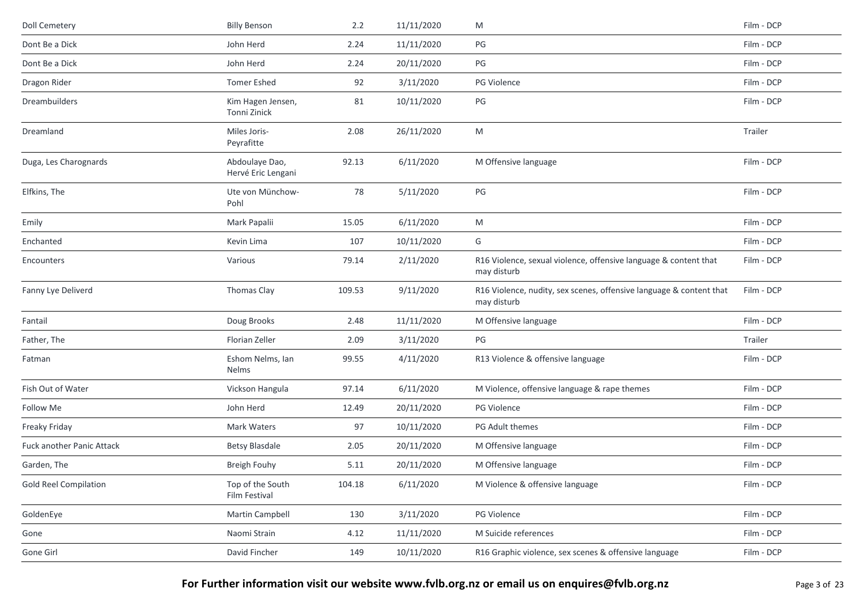| <b>Doll Cemetery</b>             | <b>Billy Benson</b>                  | 2.2    | 11/11/2020 | M                                                                                  | Film - DCP |
|----------------------------------|--------------------------------------|--------|------------|------------------------------------------------------------------------------------|------------|
| Dont Be a Dick                   | John Herd                            | 2.24   | 11/11/2020 | PG                                                                                 | Film - DCP |
| Dont Be a Dick                   | John Herd                            | 2.24   | 20/11/2020 | PG                                                                                 | Film - DCP |
| Dragon Rider                     | <b>Tomer Eshed</b>                   | 92     | 3/11/2020  | PG Violence                                                                        | Film - DCP |
| Dreambuilders                    | Kim Hagen Jensen,<br>Tonni Zinick    | 81     | 10/11/2020 | PG                                                                                 | Film - DCP |
| Dreamland                        | Miles Joris-<br>Peyrafitte           | 2.08   | 26/11/2020 | M                                                                                  | Trailer    |
| Duga, Les Charognards            | Abdoulaye Dao,<br>Hervé Eric Lengani | 92.13  | 6/11/2020  | M Offensive language                                                               | Film - DCP |
| Elfkins, The                     | Ute von Münchow-<br>Pohl             | 78     | 5/11/2020  | PG                                                                                 | Film - DCP |
| Emily                            | Mark Papalii                         | 15.05  | 6/11/2020  | ${\sf M}$                                                                          | Film - DCP |
| Enchanted                        | Kevin Lima                           | 107    | 10/11/2020 | G                                                                                  | Film - DCP |
| Encounters                       | Various                              | 79.14  | 2/11/2020  | R16 Violence, sexual violence, offensive language & content that<br>may disturb    | Film - DCP |
| Fanny Lye Deliverd               | Thomas Clay                          | 109.53 | 9/11/2020  | R16 Violence, nudity, sex scenes, offensive language & content that<br>may disturb | Film - DCP |
| Fantail                          | Doug Brooks                          | 2.48   | 11/11/2020 | M Offensive language                                                               | Film - DCP |
| Father, The                      | Florian Zeller                       | 2.09   | 3/11/2020  | PG                                                                                 | Trailer    |
| Fatman                           | Eshom Nelms, Ian<br>Nelms            | 99.55  | 4/11/2020  | R13 Violence & offensive language                                                  | Film - DCP |
| Fish Out of Water                | Vickson Hangula                      | 97.14  | 6/11/2020  | M Violence, offensive language & rape themes                                       | Film - DCP |
| Follow Me                        | John Herd                            | 12.49  | 20/11/2020 | PG Violence                                                                        | Film - DCP |
| Freaky Friday                    | Mark Waters                          | 97     | 10/11/2020 | PG Adult themes                                                                    | Film - DCP |
| <b>Fuck another Panic Attack</b> | <b>Betsy Blasdale</b>                | 2.05   | 20/11/2020 | M Offensive language                                                               | Film - DCP |
| Garden, The                      | Breigh Fouhy                         | 5.11   | 20/11/2020 | M Offensive language                                                               | Film - DCP |
| <b>Gold Reel Compilation</b>     | Top of the South<br>Film Festival    | 104.18 | 6/11/2020  | M Violence & offensive language                                                    | Film - DCP |
| GoldenEye                        | Martin Campbell                      | 130    | 3/11/2020  | PG Violence                                                                        | Film - DCP |
| Gone                             | Naomi Strain                         | 4.12   | 11/11/2020 | M Suicide references                                                               | Film - DCP |
| Gone Girl                        | David Fincher                        | 149    | 10/11/2020 | R16 Graphic violence, sex scenes & offensive language                              | Film - DCP |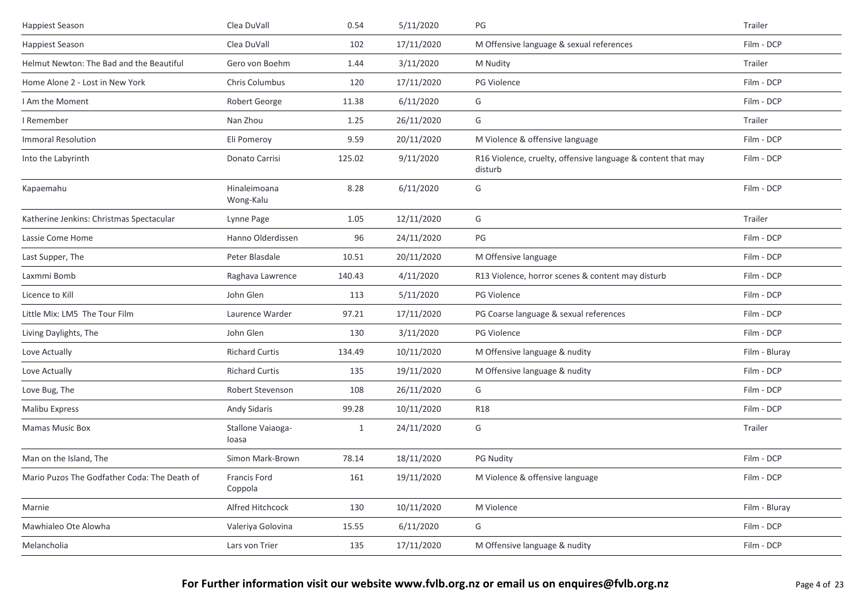| <b>Happiest Season</b>                       | Clea DuVall                    | 0.54         | 5/11/2020  | PG                                                                      | Trailer       |
|----------------------------------------------|--------------------------------|--------------|------------|-------------------------------------------------------------------------|---------------|
| <b>Happiest Season</b>                       | Clea DuVall                    | 102          | 17/11/2020 | M Offensive language & sexual references                                | Film - DCP    |
| Helmut Newton: The Bad and the Beautiful     | Gero von Boehm                 | 1.44         | 3/11/2020  | M Nudity                                                                | Trailer       |
| Home Alone 2 - Lost in New York              | Chris Columbus                 | 120          | 17/11/2020 | PG Violence                                                             | Film - DCP    |
| I Am the Moment                              | Robert George                  | 11.38        | 6/11/2020  | G                                                                       | Film - DCP    |
| I Remember                                   | Nan Zhou                       | 1.25         | 26/11/2020 | G                                                                       | Trailer       |
| <b>Immoral Resolution</b>                    | Eli Pomeroy                    | 9.59         | 20/11/2020 | M Violence & offensive language                                         | Film - DCP    |
| Into the Labyrinth                           | Donato Carrisi                 | 125.02       | 9/11/2020  | R16 Violence, cruelty, offensive language & content that may<br>disturb | Film - DCP    |
| Kapaemahu                                    | Hinaleimoana<br>Wong-Kalu      | 8.28         | 6/11/2020  | G                                                                       | Film - DCP    |
| Katherine Jenkins: Christmas Spectacular     | Lynne Page                     | 1.05         | 12/11/2020 | G                                                                       | Trailer       |
| Lassie Come Home                             | Hanno Olderdissen              | 96           | 24/11/2020 | PG                                                                      | Film - DCP    |
| Last Supper, The                             | Peter Blasdale                 | 10.51        | 20/11/2020 | M Offensive language                                                    | Film - DCP    |
| Laxmmi Bomb                                  | Raghava Lawrence               | 140.43       | 4/11/2020  | R13 Violence, horror scenes & content may disturb                       | Film - DCP    |
| Licence to Kill                              | John Glen                      | 113          | 5/11/2020  | <b>PG Violence</b>                                                      | Film - DCP    |
| Little Mix: LM5 The Tour Film                | Laurence Warder                | 97.21        | 17/11/2020 | PG Coarse language & sexual references                                  | Film - DCP    |
| Living Daylights, The                        | John Glen                      | 130          | 3/11/2020  | <b>PG Violence</b>                                                      | Film - DCP    |
| Love Actually                                | <b>Richard Curtis</b>          | 134.49       | 10/11/2020 | M Offensive language & nudity                                           | Film - Bluray |
| Love Actually                                | <b>Richard Curtis</b>          | 135          | 19/11/2020 | M Offensive language & nudity                                           | Film - DCP    |
| Love Bug, The                                | Robert Stevenson               | 108          | 26/11/2020 | G                                                                       | Film - DCP    |
| <b>Malibu Express</b>                        | Andy Sidaris                   | 99.28        | 10/11/2020 | <b>R18</b>                                                              | Film - DCP    |
| <b>Mamas Music Box</b>                       | Stallone Vaiaoga-<br>loasa     | $\mathbf{1}$ | 24/11/2020 | G                                                                       | Trailer       |
| Man on the Island, The                       | Simon Mark-Brown               | 78.14        | 18/11/2020 | <b>PG Nudity</b>                                                        | Film - DCP    |
| Mario Puzos The Godfather Coda: The Death of | <b>Francis Ford</b><br>Coppola | 161          | 19/11/2020 | M Violence & offensive language                                         | Film - DCP    |
| Marnie                                       | Alfred Hitchcock               | 130          | 10/11/2020 | M Violence                                                              | Film - Bluray |
| Mawhialeo Ote Alowha                         | Valeriya Golovina              | 15.55        | 6/11/2020  | G                                                                       | Film - DCP    |
| Melancholia                                  | Lars von Trier                 | 135          | 17/11/2020 | M Offensive language & nudity                                           | Film - DCP    |
|                                              |                                |              |            |                                                                         |               |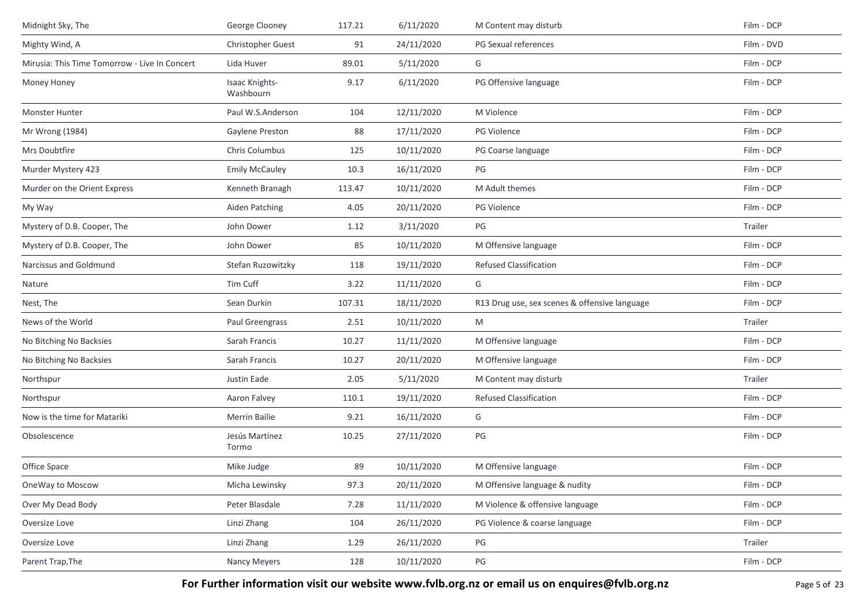| Midnight Sky, The                             | George Clooney                     | 117.21 | 6/11/2020  | M Content may disturb                         | Film - DCP |
|-----------------------------------------------|------------------------------------|--------|------------|-----------------------------------------------|------------|
| Mighty Wind, A                                | Christopher Guest                  | 91     | 24/11/2020 | PG Sexual references                          | Film - DVD |
| Mirusia: This Time Tomorrow - Live In Concert | Lida Huver                         | 89.01  | 5/11/2020  | G                                             | Film - DCP |
| Money Honey                                   | <b>Isaac Knights-</b><br>Washbourn | 9.17   | 6/11/2020  | PG Offensive language                         | Film - DCP |
| <b>Monster Hunter</b>                         | Paul W.S.Anderson                  | 104    | 12/11/2020 | M Violence                                    | Film - DCP |
| Mr Wrong (1984)                               | Gaylene Preston                    | 88     | 17/11/2020 | PG Violence                                   | Film - DCP |
| Mrs Doubtfire                                 | Chris Columbus                     | 125    | 10/11/2020 | PG Coarse language                            | Film - DCP |
| Murder Mystery 423                            | <b>Emily McCauley</b>              | 10.3   | 16/11/2020 | PG                                            | Film - DCP |
| Murder on the Orient Express                  | Kenneth Branagh                    | 113.47 | 10/11/2020 | M Adult themes                                | Film - DCP |
| My Way                                        | Aiden Patching                     | 4.05   | 20/11/2020 | <b>PG Violence</b>                            | Film - DCP |
| Mystery of D.B. Cooper, The                   | John Dower                         | 1.12   | 3/11/2020  | PG                                            | Trailer    |
| Mystery of D.B. Cooper, The                   | John Dower                         | 85     | 10/11/2020 | M Offensive language                          | Film - DCP |
| Narcissus and Goldmund                        | Stefan Ruzowitzky                  | 118    | 19/11/2020 | Refused Classification                        | Film - DCP |
| Nature                                        | Tim Cuff                           | 3.22   | 11/11/2020 | G                                             | Film - DCP |
| Nest, The                                     | Sean Durkin                        | 107.31 | 18/11/2020 | R13 Drug use, sex scenes & offensive language | Film - DCP |
| News of the World                             | Paul Greengrass                    | 2.51   | 10/11/2020 | M                                             | Trailer    |
| No Bitching No Backsies                       | Sarah Francis                      | 10.27  | 11/11/2020 | M Offensive language                          | Film - DCP |
| No Bitching No Backsies                       | Sarah Francis                      | 10.27  | 20/11/2020 | M Offensive language                          | Film - DCP |
| Northspur                                     | Justin Eade                        | 2.05   | 5/11/2020  | M Content may disturb                         | Trailer    |
| Northspur                                     | Aaron Falvey                       | 110.1  | 19/11/2020 | <b>Refused Classification</b>                 | Film - DCP |
| Now is the time for Matariki                  | <b>Merrin Bailie</b>               | 9.21   | 16/11/2020 | G                                             | Film - DCP |
| Obsolescence                                  | Jesús Martínez<br>Tormo            | 10.25  | 27/11/2020 | PG                                            | Film - DCP |
| Office Space                                  | Mike Judge                         | 89     | 10/11/2020 | M Offensive language                          | Film - DCP |
| OneWay to Moscow                              | Micha Lewinsky                     | 97.3   | 20/11/2020 | M Offensive language & nudity                 | Film - DCP |
| Over My Dead Body                             | Peter Blasdale                     | 7.28   | 11/11/2020 | M Violence & offensive language               | Film - DCP |
| Oversize Love                                 | Linzi Zhang                        | 104    | 26/11/2020 | PG Violence & coarse language                 | Film - DCP |
| Oversize Love                                 | Linzi Zhang                        | 1.29   | 26/11/2020 | PG                                            | Trailer    |
| Parent Trap, The                              | <b>Nancy Meyers</b>                | 128    | 10/11/2020 | PG                                            | Film - DCP |

For Further information visit our website www.fvlb.org.nz or email us on enquires@fvlb.org.nz<br>Page 5 of 23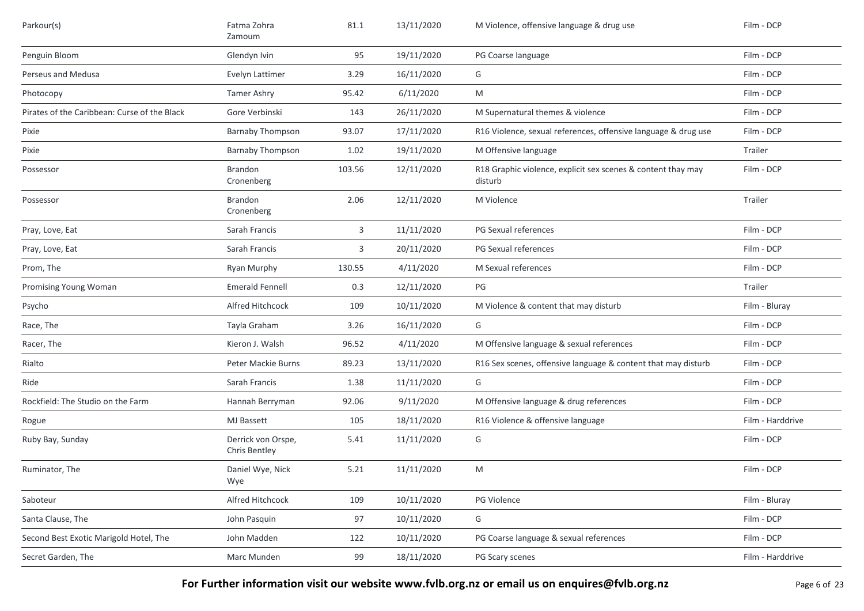| Parkour(s)                                   | Fatma Zohra<br>Zamoum               | 81.1   | 13/11/2020 | M Violence, offensive language & drug use                               | Film - DCP       |
|----------------------------------------------|-------------------------------------|--------|------------|-------------------------------------------------------------------------|------------------|
| Penguin Bloom                                | Glendyn Ivin                        | 95     | 19/11/2020 | PG Coarse language                                                      | Film - DCP       |
| Perseus and Medusa                           | Evelyn Lattimer                     | 3.29   | 16/11/2020 | G                                                                       | Film - DCP       |
| Photocopy                                    | Tamer Ashry                         | 95.42  | 6/11/2020  | M                                                                       | Film - DCP       |
| Pirates of the Caribbean: Curse of the Black | Gore Verbinski                      | 143    | 26/11/2020 | M Supernatural themes & violence                                        | Film - DCP       |
| Pixie                                        | <b>Barnaby Thompson</b>             | 93.07  | 17/11/2020 | R16 Violence, sexual references, offensive language & drug use          | Film - DCP       |
| Pixie                                        | <b>Barnaby Thompson</b>             | 1.02   | 19/11/2020 | M Offensive language                                                    | Trailer          |
| Possessor                                    | Brandon<br>Cronenberg               | 103.56 | 12/11/2020 | R18 Graphic violence, explicit sex scenes & content thay may<br>disturb | Film - DCP       |
| Possessor                                    | Brandon<br>Cronenberg               | 2.06   | 12/11/2020 | M Violence                                                              | Trailer          |
| Pray, Love, Eat                              | Sarah Francis                       | 3      | 11/11/2020 | PG Sexual references                                                    | Film - DCP       |
| Pray, Love, Eat                              | Sarah Francis                       | 3      | 20/11/2020 | PG Sexual references                                                    | Film - DCP       |
| Prom, The                                    | Ryan Murphy                         | 130.55 | 4/11/2020  | M Sexual references                                                     | Film - DCP       |
| Promising Young Woman                        | <b>Emerald Fennell</b>              | 0.3    | 12/11/2020 | PG                                                                      | Trailer          |
| Psycho                                       | Alfred Hitchcock                    | 109    | 10/11/2020 | M Violence & content that may disturb                                   | Film - Bluray    |
| Race, The                                    | Tayla Graham                        | 3.26   | 16/11/2020 | G                                                                       | Film - DCP       |
| Racer, The                                   | Kieron J. Walsh                     | 96.52  | 4/11/2020  | M Offensive language & sexual references                                | Film - DCP       |
| Rialto                                       | Peter Mackie Burns                  | 89.23  | 13/11/2020 | R16 Sex scenes, offensive language & content that may disturb           | Film - DCP       |
| Ride                                         | Sarah Francis                       | 1.38   | 11/11/2020 | G                                                                       | Film - DCP       |
| Rockfield: The Studio on the Farm            | Hannah Berryman                     | 92.06  | 9/11/2020  | M Offensive language & drug references                                  | Film - DCP       |
| Rogue                                        | <b>MJ</b> Bassett                   | 105    | 18/11/2020 | R16 Violence & offensive language                                       | Film - Harddrive |
| Ruby Bay, Sunday                             | Derrick von Orspe,<br>Chris Bentley | 5.41   | 11/11/2020 | G                                                                       | Film - DCP       |
| Ruminator, The                               | Daniel Wye, Nick<br>Wye             | 5.21   | 11/11/2020 | M                                                                       | Film - DCP       |
| Saboteur                                     | Alfred Hitchcock                    | 109    | 10/11/2020 | PG Violence                                                             | Film - Bluray    |
| Santa Clause, The                            | John Pasquin                        | 97     | 10/11/2020 | G                                                                       | Film - DCP       |
| Second Best Exotic Marigold Hotel, The       | John Madden                         | 122    | 10/11/2020 | PG Coarse language & sexual references                                  | Film - DCP       |
| Secret Garden, The                           | Marc Munden                         | 99     | 18/11/2020 | PG Scary scenes                                                         | Film - Harddrive |

For Further information visit our website www.fvlb.org.nz or email us on enquires@fvlb.org.nz<br>Page 6 of 23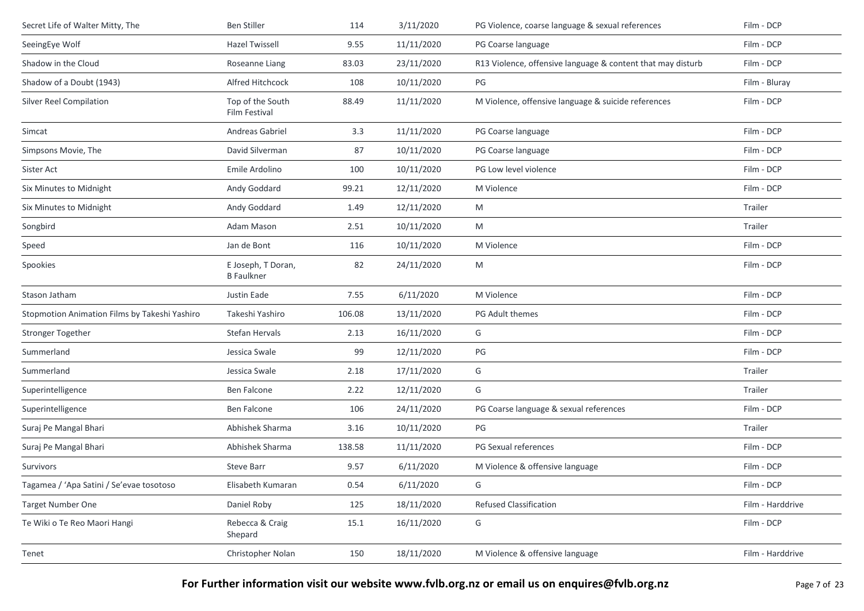| Secret Life of Walter Mitty, The              | <b>Ben Stiller</b>                      | 114    | 3/11/2020  | PG Violence, coarse language & sexual references            | Film - DCP       |
|-----------------------------------------------|-----------------------------------------|--------|------------|-------------------------------------------------------------|------------------|
| SeeingEye Wolf                                | <b>Hazel Twissell</b>                   | 9.55   | 11/11/2020 | PG Coarse language                                          | Film - DCP       |
| Shadow in the Cloud                           | Roseanne Liang                          | 83.03  | 23/11/2020 | R13 Violence, offensive language & content that may disturb | Film - DCP       |
| Shadow of a Doubt (1943)                      | Alfred Hitchcock                        | 108    | 10/11/2020 | PG                                                          | Film - Bluray    |
| Silver Reel Compilation                       | Top of the South<br>Film Festival       | 88.49  | 11/11/2020 | M Violence, offensive language & suicide references         | Film - DCP       |
| Simcat                                        | Andreas Gabriel                         | 3.3    | 11/11/2020 | PG Coarse language                                          | Film - DCP       |
| Simpsons Movie, The                           | David Silverman                         | 87     | 10/11/2020 | PG Coarse language                                          | Film - DCP       |
| Sister Act                                    | Emile Ardolino                          | 100    | 10/11/2020 | PG Low level violence                                       | Film - DCP       |
| Six Minutes to Midnight                       | Andy Goddard                            | 99.21  | 12/11/2020 | M Violence                                                  | Film - DCP       |
| Six Minutes to Midnight                       | Andy Goddard                            | 1.49   | 12/11/2020 | M                                                           | Trailer          |
| Songbird                                      | Adam Mason                              | 2.51   | 10/11/2020 | M                                                           | Trailer          |
| Speed                                         | Jan de Bont                             | 116    | 10/11/2020 | M Violence                                                  | Film - DCP       |
| Spookies                                      | E Joseph, T Doran,<br><b>B</b> Faulkner | 82     | 24/11/2020 | M                                                           | Film - DCP       |
| Stason Jatham                                 | Justin Eade                             | 7.55   | 6/11/2020  | M Violence                                                  | Film - DCP       |
| Stopmotion Animation Films by Takeshi Yashiro | Takeshi Yashiro                         | 106.08 | 13/11/2020 | PG Adult themes                                             | Film - DCP       |
| Stronger Together                             | Stefan Hervals                          | 2.13   | 16/11/2020 | G                                                           | Film - DCP       |
| Summerland                                    | Jessica Swale                           | 99     | 12/11/2020 | PG                                                          | Film - DCP       |
| Summerland                                    | Jessica Swale                           | 2.18   | 17/11/2020 | G                                                           | Trailer          |
| Superintelligence                             | Ben Falcone                             | 2.22   | 12/11/2020 | G                                                           | Trailer          |
| Superintelligence                             | Ben Falcone                             | 106    | 24/11/2020 | PG Coarse language & sexual references                      | Film - DCP       |
| Suraj Pe Mangal Bhari                         | Abhishek Sharma                         | 3.16   | 10/11/2020 | PG                                                          | Trailer          |
| Suraj Pe Mangal Bhari                         | Abhishek Sharma                         | 138.58 | 11/11/2020 | PG Sexual references                                        | Film - DCP       |
| Survivors                                     | <b>Steve Barr</b>                       | 9.57   | 6/11/2020  | M Violence & offensive language                             | Film - DCP       |
| Tagamea / 'Apa Satini / Se'evae tosotoso      | Elisabeth Kumaran                       | 0.54   | 6/11/2020  | G                                                           | Film - DCP       |
| <b>Target Number One</b>                      | Daniel Roby                             | 125    | 18/11/2020 | <b>Refused Classification</b>                               | Film - Harddrive |
| Te Wiki o Te Reo Maori Hangi                  | Rebecca & Craig<br>Shepard              | 15.1   | 16/11/2020 | G                                                           | Film - DCP       |
| Tenet                                         | Christopher Nolan                       | 150    | 18/11/2020 | M Violence & offensive language                             | Film - Harddrive |
|                                               |                                         |        |            |                                                             |                  |

**For Further information visit our website www.fvlb.org.nz or email us on enquires@fvlb.org.nz** Page 7 of 23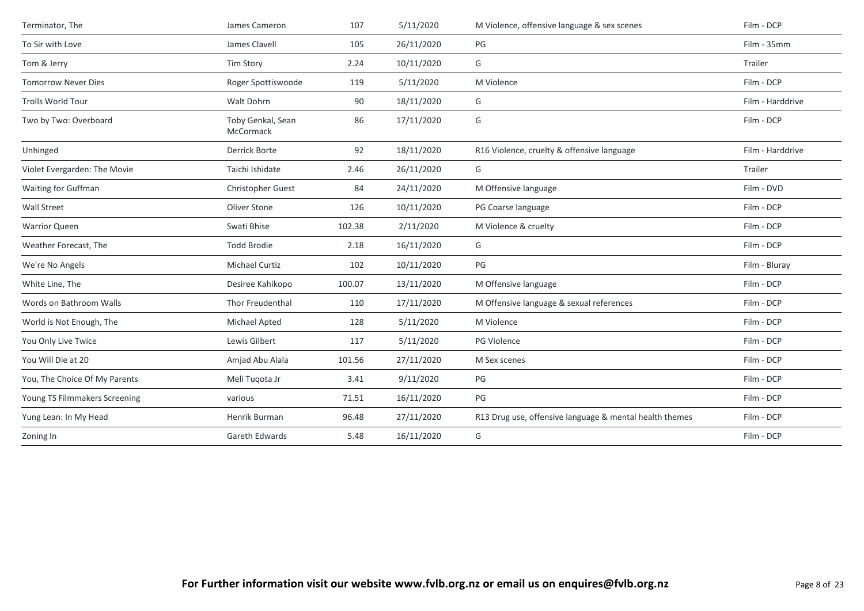| Terminator, The               | James Cameron                  | 107    | 5/11/2020  | M Violence, offensive language & sex scenes             | Film - DCP       |
|-------------------------------|--------------------------------|--------|------------|---------------------------------------------------------|------------------|
| To Sir with Love              | James Clavell                  | 105    | 26/11/2020 | PG                                                      | Film - 35mm      |
| Tom & Jerry                   | <b>Tim Story</b>               | 2.24   | 10/11/2020 | G                                                       | Trailer          |
| <b>Tomorrow Never Dies</b>    | Roger Spottiswoode             | 119    | 5/11/2020  | M Violence                                              | Film - DCP       |
| <b>Trolls World Tour</b>      | Walt Dohrn                     | 90     | 18/11/2020 | G                                                       | Film - Harddrive |
| Two by Two: Overboard         | Toby Genkal, Sean<br>McCormack | 86     | 17/11/2020 | G                                                       | Film - DCP       |
| Unhinged                      | Derrick Borte                  | 92     | 18/11/2020 | R16 Violence, cruelty & offensive language              | Film - Harddrive |
| Violet Evergarden: The Movie  | Taichi Ishidate                | 2.46   | 26/11/2020 | G                                                       | Trailer          |
| Waiting for Guffman           | Christopher Guest              | 84     | 24/11/2020 | M Offensive language                                    | Film - DVD       |
| <b>Wall Street</b>            | Oliver Stone                   | 126    | 10/11/2020 | PG Coarse language                                      | Film - DCP       |
| <b>Warrior Queen</b>          | Swati Bhise                    | 102.38 | 2/11/2020  | M Violence & cruelty                                    | Film - DCP       |
| Weather Forecast, The         | <b>Todd Brodie</b>             | 2.18   | 16/11/2020 | G                                                       | Film - DCP       |
| We're No Angels               | Michael Curtiz                 | 102    | 10/11/2020 | PG                                                      | Film - Bluray    |
| White Line, The               | Desiree Kahikopo               | 100.07 | 13/11/2020 | M Offensive language                                    | Film - DCP       |
| Words on Bathroom Walls       | Thor Freudenthal               | 110    | 17/11/2020 | M Offensive language & sexual references                | Film - DCP       |
| World is Not Enough, The      | Michael Apted                  | 128    | 5/11/2020  | M Violence                                              | Film - DCP       |
| You Only Live Twice           | Lewis Gilbert                  | 117    | 5/11/2020  | PG Violence                                             | Film - DCP       |
| You Will Die at 20            | Amjad Abu Alala                | 101.56 | 27/11/2020 | M Sex scenes                                            | Film - DCP       |
| You, The Choice Of My Parents | Meli Tugota Jr                 | 3.41   | 9/11/2020  | PG                                                      | Film - DCP       |
| Young TS Filmmakers Screening | various                        | 71.51  | 16/11/2020 | PG                                                      | Film - DCP       |
| Yung Lean: In My Head         | Henrik Burman                  | 96.48  | 27/11/2020 | R13 Drug use, offensive language & mental health themes | Film - DCP       |
| Zoning In                     | Gareth Edwards                 | 5.48   | 16/11/2020 | G                                                       | Film - DCP       |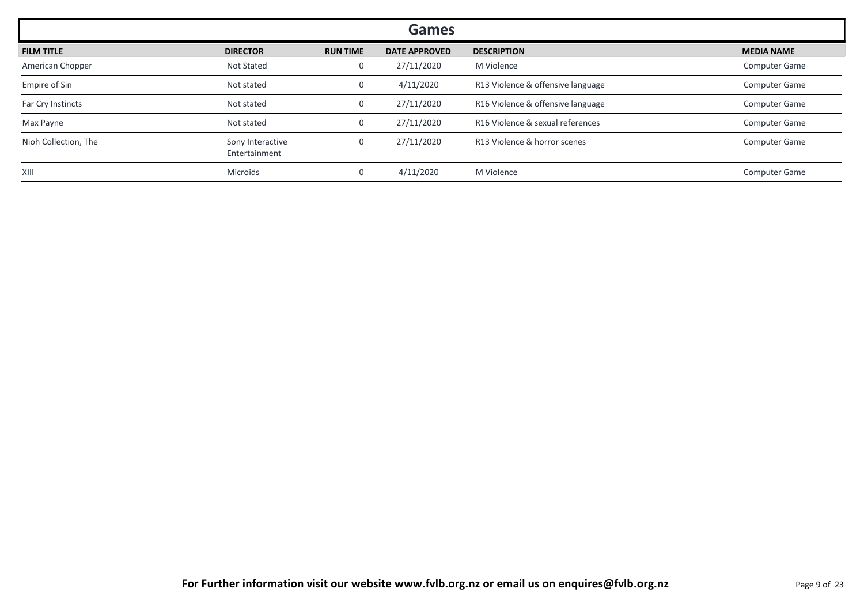| <b>Games</b>         |                                   |                 |                      |                                   |                      |  |  |
|----------------------|-----------------------------------|-----------------|----------------------|-----------------------------------|----------------------|--|--|
| <b>FILM TITLE</b>    | <b>DIRECTOR</b>                   | <b>RUN TIME</b> | <b>DATE APPROVED</b> | <b>DESCRIPTION</b>                | <b>MEDIA NAME</b>    |  |  |
| American Chopper     | Not Stated                        | $\mathbf 0$     | 27/11/2020           | M Violence                        | <b>Computer Game</b> |  |  |
| Empire of Sin        | Not stated                        | 0               | 4/11/2020            | R13 Violence & offensive language | <b>Computer Game</b> |  |  |
| Far Cry Instincts    | Not stated                        | $\mathbf 0$     | 27/11/2020           | R16 Violence & offensive language | <b>Computer Game</b> |  |  |
| Max Payne            | Not stated                        | 0               | 27/11/2020           | R16 Violence & sexual references  | <b>Computer Game</b> |  |  |
| Nioh Collection, The | Sony Interactive<br>Entertainment | 0               | 27/11/2020           | R13 Violence & horror scenes      | <b>Computer Game</b> |  |  |
| XIII                 | Microids                          | $\mathbf 0$     | 4/11/2020            | M Violence                        | <b>Computer Game</b> |  |  |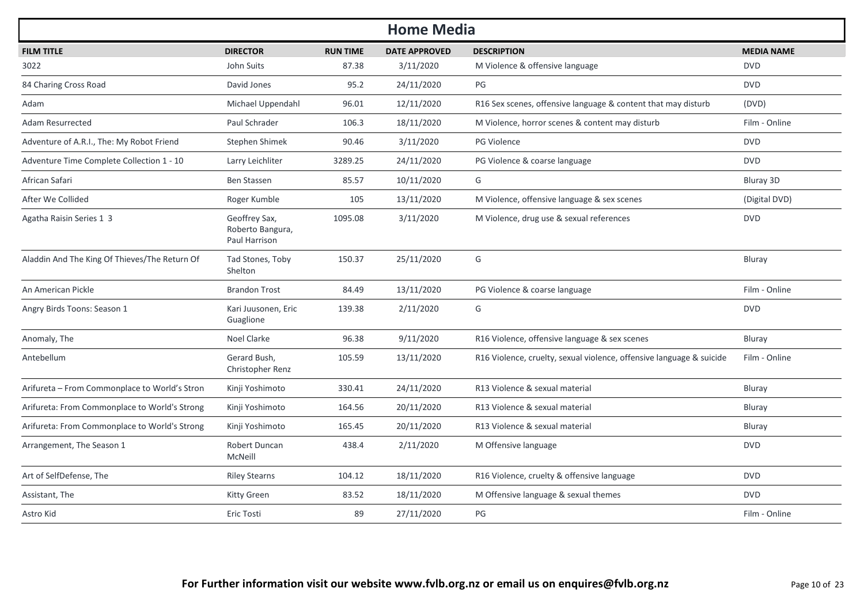| <b>Home Media</b>                             |                                                    |                 |                      |                                                                      |                   |  |  |  |
|-----------------------------------------------|----------------------------------------------------|-----------------|----------------------|----------------------------------------------------------------------|-------------------|--|--|--|
| <b>FILM TITLE</b>                             | <b>DIRECTOR</b>                                    | <b>RUN TIME</b> | <b>DATE APPROVED</b> | <b>DESCRIPTION</b>                                                   | <b>MEDIA NAME</b> |  |  |  |
| 3022                                          | John Suits                                         | 87.38           | 3/11/2020            | M Violence & offensive language                                      | <b>DVD</b>        |  |  |  |
| 84 Charing Cross Road                         | David Jones                                        | 95.2            | 24/11/2020           | PG                                                                   | <b>DVD</b>        |  |  |  |
| Adam                                          | Michael Uppendahl                                  | 96.01           | 12/11/2020           | R16 Sex scenes, offensive language & content that may disturb        | (DVD)             |  |  |  |
| <b>Adam Resurrected</b>                       | Paul Schrader                                      | 106.3           | 18/11/2020           | M Violence, horror scenes & content may disturb                      | Film - Online     |  |  |  |
| Adventure of A.R.I., The: My Robot Friend     | Stephen Shimek                                     | 90.46           | 3/11/2020            | <b>PG Violence</b>                                                   | <b>DVD</b>        |  |  |  |
| Adventure Time Complete Collection 1 - 10     | Larry Leichliter                                   | 3289.25         | 24/11/2020           | PG Violence & coarse language                                        | <b>DVD</b>        |  |  |  |
| African Safari                                | <b>Ben Stassen</b>                                 | 85.57           | 10/11/2020           | G                                                                    | Bluray 3D         |  |  |  |
| After We Collided                             | Roger Kumble                                       | 105             | 13/11/2020           | M Violence, offensive language & sex scenes                          | (Digital DVD)     |  |  |  |
| Agatha Raisin Series 1 3                      | Geoffrey Sax,<br>Roberto Bangura,<br>Paul Harrison | 1095.08         | 3/11/2020            | M Violence, drug use & sexual references                             | <b>DVD</b>        |  |  |  |
| Aladdin And The King Of Thieves/The Return Of | Tad Stones, Toby<br>Shelton                        | 150.37          | 25/11/2020           | G                                                                    | Bluray            |  |  |  |
| An American Pickle                            | <b>Brandon Trost</b>                               | 84.49           | 13/11/2020           | PG Violence & coarse language                                        | Film - Online     |  |  |  |
| Angry Birds Toons: Season 1                   | Kari Juusonen, Eric<br>Guaglione                   | 139.38          | 2/11/2020            | G                                                                    | <b>DVD</b>        |  |  |  |
| Anomaly, The                                  | Noel Clarke                                        | 96.38           | 9/11/2020            | R16 Violence, offensive language & sex scenes                        | Bluray            |  |  |  |
| Antebellum                                    | Gerard Bush,<br>Christopher Renz                   | 105.59          | 13/11/2020           | R16 Violence, cruelty, sexual violence, offensive language & suicide | Film - Online     |  |  |  |
| Arifureta - From Commonplace to World's Stron | Kinji Yoshimoto                                    | 330.41          | 24/11/2020           | R13 Violence & sexual material                                       | Bluray            |  |  |  |
| Arifureta: From Commonplace to World's Strong | Kinji Yoshimoto                                    | 164.56          | 20/11/2020           | R13 Violence & sexual material                                       | Bluray            |  |  |  |
| Arifureta: From Commonplace to World's Strong | Kinji Yoshimoto                                    | 165.45          | 20/11/2020           | R13 Violence & sexual material                                       | Bluray            |  |  |  |
| Arrangement, The Season 1                     | Robert Duncan<br><b>McNeill</b>                    | 438.4           | 2/11/2020            | M Offensive language                                                 | <b>DVD</b>        |  |  |  |
| Art of SelfDefense, The                       | <b>Riley Stearns</b>                               | 104.12          | 18/11/2020           | R16 Violence, cruelty & offensive language                           | <b>DVD</b>        |  |  |  |
| Assistant, The                                | <b>Kitty Green</b>                                 | 83.52           | 18/11/2020           | M Offensive language & sexual themes                                 | <b>DVD</b>        |  |  |  |
| Astro Kid                                     | Eric Tosti                                         | 89              | 27/11/2020           | PG                                                                   | Film - Online     |  |  |  |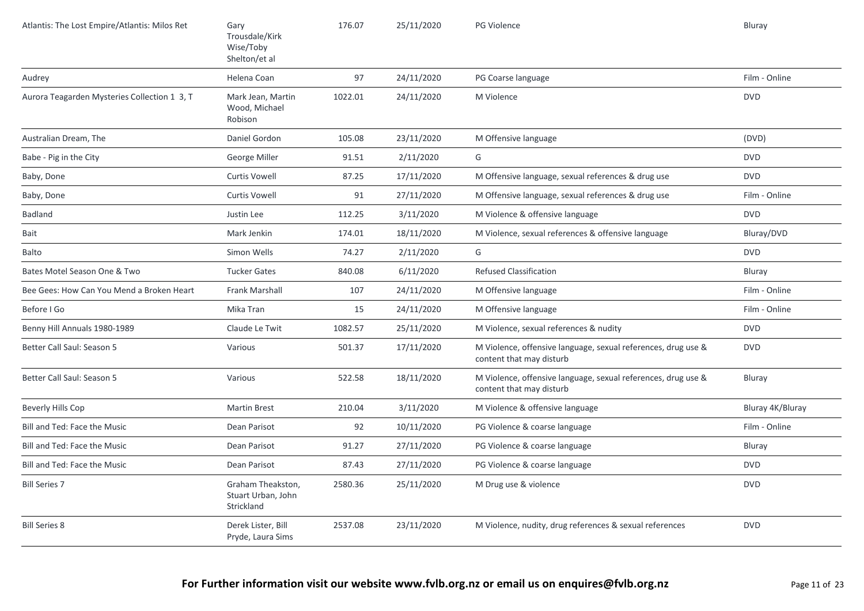| Atlantis: The Lost Empire/Atlantis: Milos Ret | Gary<br>Trousdale/Kirk<br>Wise/Toby<br>Shelton/et al  | 176.07  | 25/11/2020 | PG Violence                                                                               | Bluray           |
|-----------------------------------------------|-------------------------------------------------------|---------|------------|-------------------------------------------------------------------------------------------|------------------|
| Audrey                                        | Helena Coan                                           | 97      | 24/11/2020 | PG Coarse language                                                                        | Film - Online    |
| Aurora Teagarden Mysteries Collection 1 3, T  | Mark Jean, Martin<br>Wood, Michael<br>Robison         | 1022.01 | 24/11/2020 | M Violence                                                                                | <b>DVD</b>       |
| Australian Dream, The                         | Daniel Gordon                                         | 105.08  | 23/11/2020 | M Offensive language                                                                      | (DVD)            |
| Babe - Pig in the City                        | George Miller                                         | 91.51   | 2/11/2020  | G                                                                                         | <b>DVD</b>       |
| Baby, Done                                    | <b>Curtis Vowell</b>                                  | 87.25   | 17/11/2020 | M Offensive language, sexual references & drug use                                        | <b>DVD</b>       |
| Baby, Done                                    | <b>Curtis Vowell</b>                                  | 91      | 27/11/2020 | M Offensive language, sexual references & drug use                                        | Film - Online    |
| <b>Badland</b>                                | Justin Lee                                            | 112.25  | 3/11/2020  | M Violence & offensive language                                                           | <b>DVD</b>       |
| Bait                                          | Mark Jenkin                                           | 174.01  | 18/11/2020 | M Violence, sexual references & offensive language                                        | Bluray/DVD       |
| Balto                                         | Simon Wells                                           | 74.27   | 2/11/2020  | G                                                                                         | <b>DVD</b>       |
| Bates Motel Season One & Two                  | <b>Tucker Gates</b>                                   | 840.08  | 6/11/2020  | <b>Refused Classification</b>                                                             | Bluray           |
| Bee Gees: How Can You Mend a Broken Heart     | <b>Frank Marshall</b>                                 | 107     | 24/11/2020 | M Offensive language                                                                      | Film - Online    |
| Before I Go                                   | Mika Tran                                             | 15      | 24/11/2020 | M Offensive language                                                                      | Film - Online    |
| Benny Hill Annuals 1980-1989                  | Claude Le Twit                                        | 1082.57 | 25/11/2020 | M Violence, sexual references & nudity                                                    | <b>DVD</b>       |
| Better Call Saul: Season 5                    | Various                                               | 501.37  | 17/11/2020 | M Violence, offensive language, sexual references, drug use &<br>content that may disturb | <b>DVD</b>       |
| Better Call Saul: Season 5                    | Various                                               | 522.58  | 18/11/2020 | M Violence, offensive language, sexual references, drug use &<br>content that may disturb | Bluray           |
| Beverly Hills Cop                             | <b>Martin Brest</b>                                   | 210.04  | 3/11/2020  | M Violence & offensive language                                                           | Bluray 4K/Bluray |
| Bill and Ted: Face the Music                  | Dean Parisot                                          | 92      | 10/11/2020 | PG Violence & coarse language                                                             | Film - Online    |
| Bill and Ted: Face the Music                  | Dean Parisot                                          | 91.27   | 27/11/2020 | PG Violence & coarse language                                                             | Bluray           |
| Bill and Ted: Face the Music                  | Dean Parisot                                          | 87.43   | 27/11/2020 | PG Violence & coarse language                                                             | <b>DVD</b>       |
| <b>Bill Series 7</b>                          | Graham Theakston,<br>Stuart Urban, John<br>Strickland | 2580.36 | 25/11/2020 | M Drug use & violence                                                                     | <b>DVD</b>       |
| <b>Bill Series 8</b>                          | Derek Lister, Bill<br>Pryde, Laura Sims               | 2537.08 | 23/11/2020 | M Violence, nudity, drug references & sexual references                                   | <b>DVD</b>       |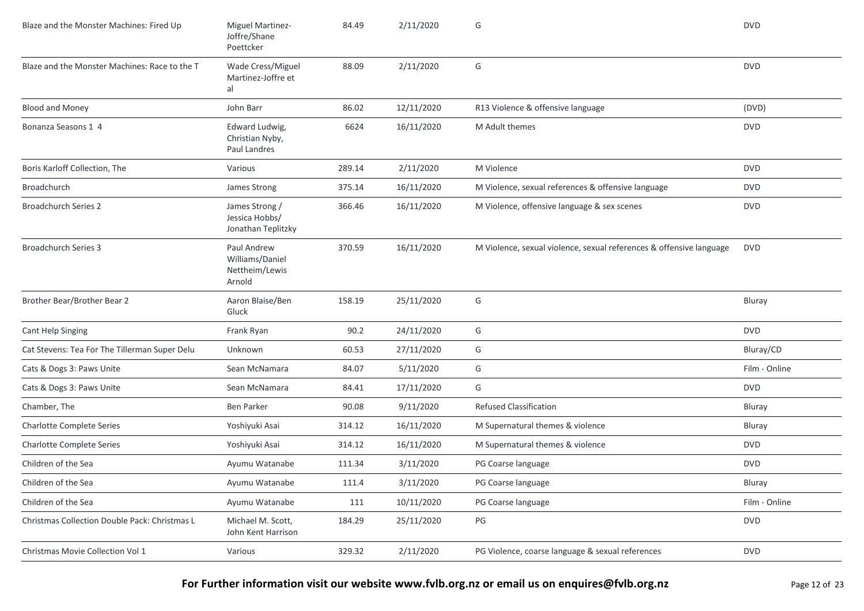| Blaze and the Monster Machines: Fired Up      | Miguel Martinez-<br>Joffre/Shane<br>Poettcker              | 84.49  | 2/11/2020  | G                                                                   | <b>DVD</b>    |
|-----------------------------------------------|------------------------------------------------------------|--------|------------|---------------------------------------------------------------------|---------------|
| Blaze and the Monster Machines: Race to the T | Wade Cress/Miguel<br>Martinez-Joffre et<br>al              | 88.09  | 2/11/2020  | G                                                                   | <b>DVD</b>    |
| <b>Blood and Money</b>                        | John Barr                                                  | 86.02  | 12/11/2020 | R13 Violence & offensive language                                   | (DVD)         |
| Bonanza Seasons 1 4                           | Edward Ludwig,<br>Christian Nyby,<br>Paul Landres          | 6624   | 16/11/2020 | M Adult themes                                                      | <b>DVD</b>    |
| Boris Karloff Collection, The                 | Various                                                    | 289.14 | 2/11/2020  | M Violence                                                          | <b>DVD</b>    |
| Broadchurch                                   | James Strong                                               | 375.14 | 16/11/2020 | M Violence, sexual references & offensive language                  | <b>DVD</b>    |
| <b>Broadchurch Series 2</b>                   | James Strong /<br>Jessica Hobbs/<br>Jonathan Teplitzky     | 366.46 | 16/11/2020 | M Violence, offensive language & sex scenes                         | <b>DVD</b>    |
| <b>Broadchurch Series 3</b>                   | Paul Andrew<br>Williams/Daniel<br>Nettheim/Lewis<br>Arnold | 370.59 | 16/11/2020 | M Violence, sexual violence, sexual references & offensive language | <b>DVD</b>    |
| Brother Bear/Brother Bear 2                   | Aaron Blaise/Ben<br>Gluck                                  | 158.19 | 25/11/2020 | G                                                                   | Bluray        |
| <b>Cant Help Singing</b>                      | Frank Ryan                                                 | 90.2   | 24/11/2020 | G                                                                   | <b>DVD</b>    |
| Cat Stevens: Tea For The Tillerman Super Delu | Unknown                                                    | 60.53  | 27/11/2020 | G                                                                   | Bluray/CD     |
| Cats & Dogs 3: Paws Unite                     | Sean McNamara                                              | 84.07  | 5/11/2020  | G                                                                   | Film - Online |
| Cats & Dogs 3: Paws Unite                     | Sean McNamara                                              | 84.41  | 17/11/2020 | G                                                                   | <b>DVD</b>    |
| Chamber, The                                  | <b>Ben Parker</b>                                          | 90.08  | 9/11/2020  | <b>Refused Classification</b>                                       | Bluray        |
| <b>Charlotte Complete Series</b>              | Yoshiyuki Asai                                             | 314.12 | 16/11/2020 | M Supernatural themes & violence                                    | Bluray        |
| <b>Charlotte Complete Series</b>              | Yoshiyuki Asai                                             | 314.12 | 16/11/2020 | M Supernatural themes & violence                                    | <b>DVD</b>    |
| Children of the Sea                           | Ayumu Watanabe                                             | 111.34 | 3/11/2020  | PG Coarse language                                                  | <b>DVD</b>    |
| Children of the Sea                           | Ayumu Watanabe                                             | 111.4  | 3/11/2020  | PG Coarse language                                                  | Bluray        |
| Children of the Sea                           | Ayumu Watanabe                                             | 111    | 10/11/2020 | PG Coarse language                                                  | Film - Online |
| Christmas Collection Double Pack: Christmas L | Michael M. Scott,<br>John Kent Harrison                    | 184.29 | 25/11/2020 | PG                                                                  | <b>DVD</b>    |
| Christmas Movie Collection Vol 1              | Various                                                    | 329.32 | 2/11/2020  | PG Violence, coarse language & sexual references                    | <b>DVD</b>    |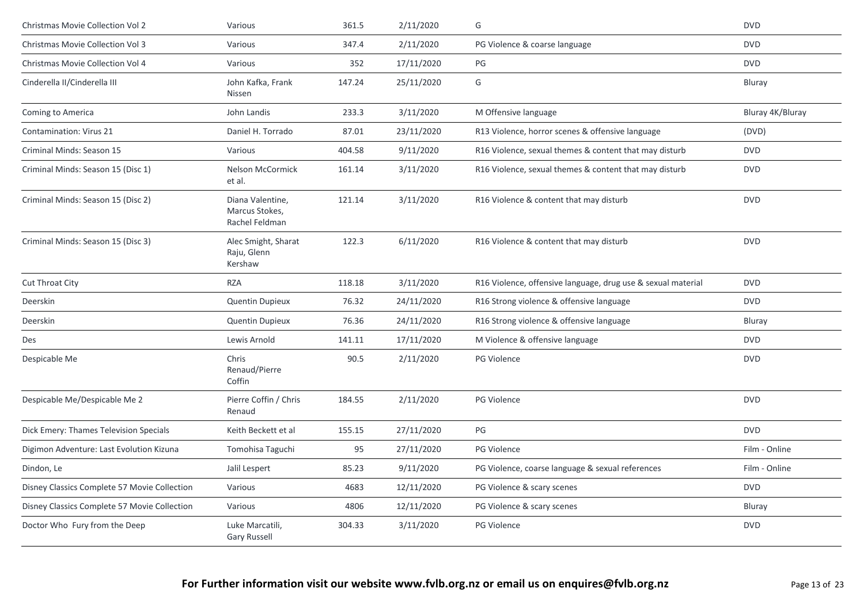| Christmas Movie Collection Vol 2             | Various                                              | 361.5  | 2/11/2020  | G                                                            | <b>DVD</b>       |
|----------------------------------------------|------------------------------------------------------|--------|------------|--------------------------------------------------------------|------------------|
| Christmas Movie Collection Vol 3             | Various                                              | 347.4  | 2/11/2020  | PG Violence & coarse language                                | <b>DVD</b>       |
| Christmas Movie Collection Vol 4             | Various                                              | 352    | 17/11/2020 | PG                                                           | <b>DVD</b>       |
| Cinderella II/Cinderella III                 | John Kafka, Frank<br>Nissen                          | 147.24 | 25/11/2020 | G                                                            | Bluray           |
| Coming to America                            | John Landis                                          | 233.3  | 3/11/2020  | M Offensive language                                         | Bluray 4K/Bluray |
| Contamination: Virus 21                      | Daniel H. Torrado                                    | 87.01  | 23/11/2020 | R13 Violence, horror scenes & offensive language             | (DVD)            |
| Criminal Minds: Season 15                    | Various                                              | 404.58 | 9/11/2020  | R16 Violence, sexual themes & content that may disturb       | <b>DVD</b>       |
| Criminal Minds: Season 15 (Disc 1)           | Nelson McCormick<br>et al.                           | 161.14 | 3/11/2020  | R16 Violence, sexual themes & content that may disturb       | <b>DVD</b>       |
| Criminal Minds: Season 15 (Disc 2)           | Diana Valentine,<br>Marcus Stokes,<br>Rachel Feldman | 121.14 | 3/11/2020  | R16 Violence & content that may disturb                      | <b>DVD</b>       |
| Criminal Minds: Season 15 (Disc 3)           | Alec Smight, Sharat<br>Raju, Glenn<br>Kershaw        | 122.3  | 6/11/2020  | R16 Violence & content that may disturb                      | <b>DVD</b>       |
| Cut Throat City                              | <b>RZA</b>                                           | 118.18 | 3/11/2020  | R16 Violence, offensive language, drug use & sexual material | <b>DVD</b>       |
| Deerskin                                     | Quentin Dupieux                                      | 76.32  | 24/11/2020 | R16 Strong violence & offensive language                     | <b>DVD</b>       |
| Deerskin                                     | <b>Quentin Dupieux</b>                               | 76.36  | 24/11/2020 | R16 Strong violence & offensive language                     | Bluray           |
| Des                                          | Lewis Arnold                                         | 141.11 | 17/11/2020 | M Violence & offensive language                              | <b>DVD</b>       |
| Despicable Me                                | Chris<br>Renaud/Pierre<br>Coffin                     | 90.5   | 2/11/2020  | <b>PG Violence</b>                                           | <b>DVD</b>       |
| Despicable Me/Despicable Me 2                | Pierre Coffin / Chris<br>Renaud                      | 184.55 | 2/11/2020  | PG Violence                                                  | <b>DVD</b>       |
| Dick Emery: Thames Television Specials       | Keith Beckett et al                                  | 155.15 | 27/11/2020 | PG                                                           | <b>DVD</b>       |
| Digimon Adventure: Last Evolution Kizuna     | Tomohisa Taguchi                                     | 95     | 27/11/2020 | <b>PG Violence</b>                                           | Film - Online    |
| Dindon, Le                                   | Jalil Lespert                                        | 85.23  | 9/11/2020  | PG Violence, coarse language & sexual references             | Film - Online    |
| Disney Classics Complete 57 Movie Collection | Various                                              | 4683   | 12/11/2020 | PG Violence & scary scenes                                   | <b>DVD</b>       |
| Disney Classics Complete 57 Movie Collection | Various                                              | 4806   | 12/11/2020 | PG Violence & scary scenes                                   | Bluray           |
| Doctor Who Fury from the Deep                | Luke Marcatili,<br><b>Gary Russell</b>               | 304.33 | 3/11/2020  | <b>PG Violence</b>                                           | <b>DVD</b>       |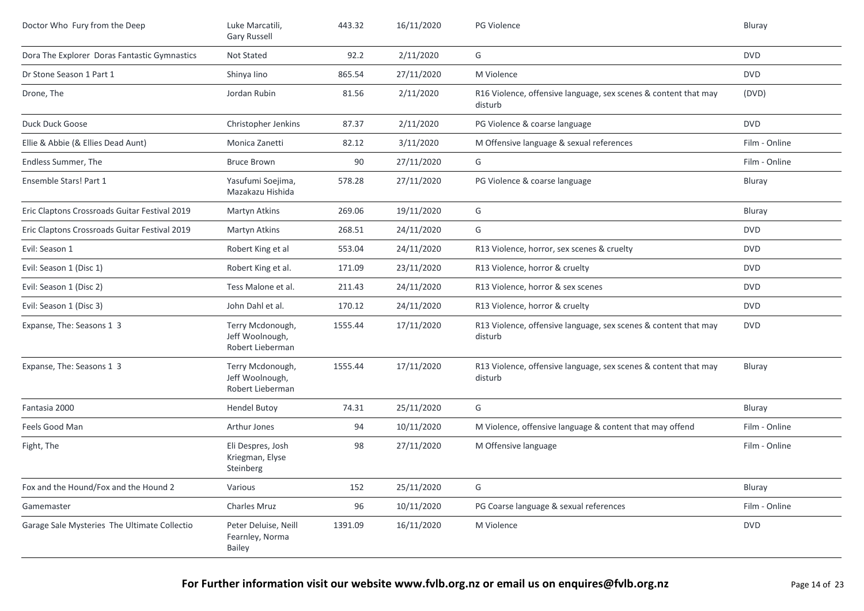| Doctor Who Fury from the Deep                 | Luke Marcatili,<br><b>Gary Russell</b>                  | 443.32  | 16/11/2020 | PG Violence                                                                | Bluray        |
|-----------------------------------------------|---------------------------------------------------------|---------|------------|----------------------------------------------------------------------------|---------------|
| Dora The Explorer Doras Fantastic Gymnastics  | Not Stated                                              | 92.2    | 2/11/2020  | G                                                                          | <b>DVD</b>    |
| Dr Stone Season 1 Part 1                      | Shinya lino                                             | 865.54  | 27/11/2020 | M Violence                                                                 | <b>DVD</b>    |
| Drone, The                                    | Jordan Rubin                                            | 81.56   | 2/11/2020  | R16 Violence, offensive language, sex scenes & content that may<br>disturb | (DVD)         |
| Duck Duck Goose                               | Christopher Jenkins                                     | 87.37   | 2/11/2020  | PG Violence & coarse language                                              | <b>DVD</b>    |
| Ellie & Abbie (& Ellies Dead Aunt)            | Monica Zanetti                                          | 82.12   | 3/11/2020  | M Offensive language & sexual references                                   | Film - Online |
| Endless Summer, The                           | <b>Bruce Brown</b>                                      | 90      | 27/11/2020 | G                                                                          | Film - Online |
| Ensemble Stars! Part 1                        | Yasufumi Soejima,<br>Mazakazu Hishida                   | 578.28  | 27/11/2020 | PG Violence & coarse language                                              | Bluray        |
| Eric Claptons Crossroads Guitar Festival 2019 | Martyn Atkins                                           | 269.06  | 19/11/2020 | G                                                                          | Bluray        |
| Eric Claptons Crossroads Guitar Festival 2019 | Martyn Atkins                                           | 268.51  | 24/11/2020 | G                                                                          | <b>DVD</b>    |
| Evil: Season 1                                | Robert King et al                                       | 553.04  | 24/11/2020 | R13 Violence, horror, sex scenes & cruelty                                 | <b>DVD</b>    |
| Evil: Season 1 (Disc 1)                       | Robert King et al.                                      | 171.09  | 23/11/2020 | R13 Violence, horror & cruelty                                             | <b>DVD</b>    |
| Evil: Season 1 (Disc 2)                       | Tess Malone et al.                                      | 211.43  | 24/11/2020 | R13 Violence, horror & sex scenes                                          | <b>DVD</b>    |
| Evil: Season 1 (Disc 3)                       | John Dahl et al.                                        | 170.12  | 24/11/2020 | R13 Violence, horror & cruelty                                             | <b>DVD</b>    |
| Expanse, The: Seasons 1 3                     | Terry Mcdonough,<br>Jeff Woolnough,<br>Robert Lieberman | 1555.44 | 17/11/2020 | R13 Violence, offensive language, sex scenes & content that may<br>disturb | <b>DVD</b>    |
| Expanse, The: Seasons 1 3                     | Terry Mcdonough,<br>Jeff Woolnough,<br>Robert Lieberman | 1555.44 | 17/11/2020 | R13 Violence, offensive language, sex scenes & content that may<br>disturb | Bluray        |
| Fantasia 2000                                 | <b>Hendel Butoy</b>                                     | 74.31   | 25/11/2020 | G                                                                          | Bluray        |
| Feels Good Man                                | Arthur Jones                                            | 94      | 10/11/2020 | M Violence, offensive language & content that may offend                   | Film - Online |
| Fight, The                                    | Eli Despres, Josh<br>Kriegman, Elyse<br>Steinberg       | 98      | 27/11/2020 | M Offensive language                                                       | Film - Online |
| Fox and the Hound/Fox and the Hound 2         | Various                                                 | 152     | 25/11/2020 | G                                                                          | Bluray        |
| Gamemaster                                    | Charles Mruz                                            | 96      | 10/11/2020 | PG Coarse language & sexual references                                     | Film - Online |
| Garage Sale Mysteries The Ultimate Collectio  | Peter Deluise, Neill<br>Fearnley, Norma<br>Bailey       | 1391.09 | 16/11/2020 | M Violence                                                                 | <b>DVD</b>    |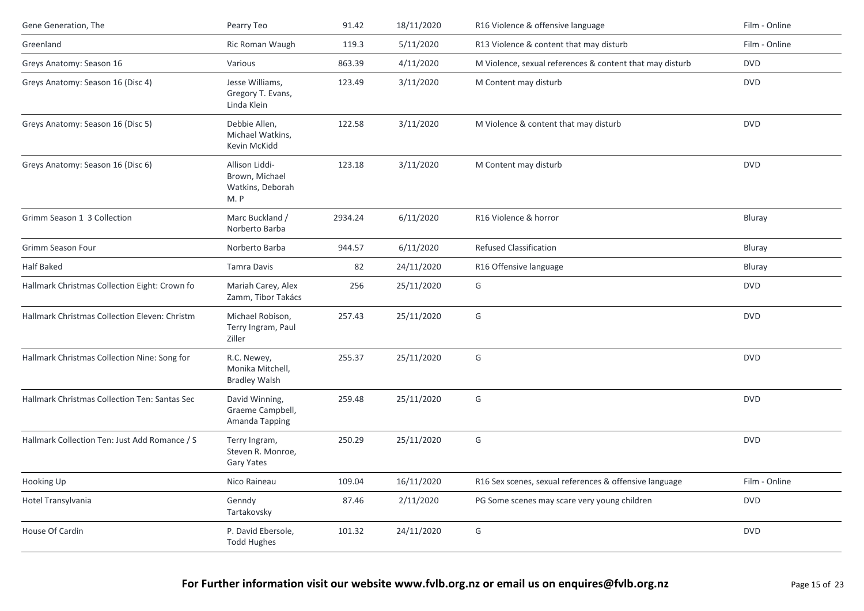| Film - Online<br>Greenland<br>Ric Roman Waugh<br>119.3<br>5/11/2020<br>R13 Violence & content that may disturb<br>M Violence, sexual references & content that may disturb<br>Greys Anatomy: Season 16<br>Various<br>863.39<br>4/11/2020<br><b>DVD</b><br>Jesse Williams,<br>123.49<br>3/11/2020<br><b>DVD</b><br>Greys Anatomy: Season 16 (Disc 4)<br>M Content may disturb<br>Gregory T. Evans,<br>Linda Klein<br>122.58<br>3/11/2020<br><b>DVD</b><br>Greys Anatomy: Season 16 (Disc 5)<br>Debbie Allen,<br>M Violence & content that may disturb<br>Michael Watkins,<br>Kevin McKidd<br><b>DVD</b><br>Greys Anatomy: Season 16 (Disc 6)<br>Allison Liddi-<br>123.18<br>3/11/2020<br>M Content may disturb<br>Brown, Michael<br>Watkins, Deborah<br>M.P<br>Marc Buckland /<br>6/11/2020<br>R16 Violence & horror<br>Grimm Season 1 3 Collection<br>2934.24<br>Bluray<br>Norberto Barba<br>Norberto Barba<br>944.57<br>6/11/2020<br>Refused Classification<br>Grimm Season Four<br>Bluray<br>82<br><b>Half Baked</b><br><b>Tamra Davis</b><br>24/11/2020<br>R16 Offensive language<br>Bluray<br>G<br><b>DVD</b><br>Hallmark Christmas Collection Eight: Crown fo<br>Mariah Carey, Alex<br>256<br>25/11/2020<br>Zamm, Tibor Takács<br>25/11/2020<br>G<br><b>DVD</b><br>Hallmark Christmas Collection Eleven: Christm<br>Michael Robison,<br>257.43<br>Terry Ingram, Paul<br>Ziller<br>G<br><b>DVD</b><br>Hallmark Christmas Collection Nine: Song for<br>R.C. Newey,<br>255.37<br>25/11/2020<br>Monika Mitchell,<br><b>Bradley Walsh</b><br>Hallmark Christmas Collection Ten: Santas Sec<br>25/11/2020<br>G<br><b>DVD</b><br>David Winning,<br>259.48<br>Graeme Campbell,<br>Amanda Tapping<br>G<br>Hallmark Collection Ten: Just Add Romance / S<br>250.29<br>25/11/2020<br><b>DVD</b><br>Terry Ingram,<br>Steven R. Monroe,<br>Gary Yates<br>109.04<br>16/11/2020<br>R16 Sex scenes, sexual references & offensive language<br>Film - Online<br>Hooking Up<br>Nico Raineau<br>Hotel Transylvania<br>Genndy<br>87.46<br>2/11/2020<br><b>DVD</b><br>PG Some scenes may scare very young children<br>Tartakovsky<br>G<br>House Of Cardin<br>P. David Ebersole,<br>24/11/2020<br><b>DVD</b><br>101.32<br><b>Todd Hughes</b> | Gene Generation, The | Pearry Teo | 91.42 | 18/11/2020 | R16 Violence & offensive language | Film - Online |
|-----------------------------------------------------------------------------------------------------------------------------------------------------------------------------------------------------------------------------------------------------------------------------------------------------------------------------------------------------------------------------------------------------------------------------------------------------------------------------------------------------------------------------------------------------------------------------------------------------------------------------------------------------------------------------------------------------------------------------------------------------------------------------------------------------------------------------------------------------------------------------------------------------------------------------------------------------------------------------------------------------------------------------------------------------------------------------------------------------------------------------------------------------------------------------------------------------------------------------------------------------------------------------------------------------------------------------------------------------------------------------------------------------------------------------------------------------------------------------------------------------------------------------------------------------------------------------------------------------------------------------------------------------------------------------------------------------------------------------------------------------------------------------------------------------------------------------------------------------------------------------------------------------------------------------------------------------------------------------------------------------------------------------------------------------------------------------------------------------------------------------------------------------------------------------------------------------------------------------|----------------------|------------|-------|------------|-----------------------------------|---------------|
|                                                                                                                                                                                                                                                                                                                                                                                                                                                                                                                                                                                                                                                                                                                                                                                                                                                                                                                                                                                                                                                                                                                                                                                                                                                                                                                                                                                                                                                                                                                                                                                                                                                                                                                                                                                                                                                                                                                                                                                                                                                                                                                                                                                                                             |                      |            |       |            |                                   |               |
|                                                                                                                                                                                                                                                                                                                                                                                                                                                                                                                                                                                                                                                                                                                                                                                                                                                                                                                                                                                                                                                                                                                                                                                                                                                                                                                                                                                                                                                                                                                                                                                                                                                                                                                                                                                                                                                                                                                                                                                                                                                                                                                                                                                                                             |                      |            |       |            |                                   |               |
|                                                                                                                                                                                                                                                                                                                                                                                                                                                                                                                                                                                                                                                                                                                                                                                                                                                                                                                                                                                                                                                                                                                                                                                                                                                                                                                                                                                                                                                                                                                                                                                                                                                                                                                                                                                                                                                                                                                                                                                                                                                                                                                                                                                                                             |                      |            |       |            |                                   |               |
|                                                                                                                                                                                                                                                                                                                                                                                                                                                                                                                                                                                                                                                                                                                                                                                                                                                                                                                                                                                                                                                                                                                                                                                                                                                                                                                                                                                                                                                                                                                                                                                                                                                                                                                                                                                                                                                                                                                                                                                                                                                                                                                                                                                                                             |                      |            |       |            |                                   |               |
|                                                                                                                                                                                                                                                                                                                                                                                                                                                                                                                                                                                                                                                                                                                                                                                                                                                                                                                                                                                                                                                                                                                                                                                                                                                                                                                                                                                                                                                                                                                                                                                                                                                                                                                                                                                                                                                                                                                                                                                                                                                                                                                                                                                                                             |                      |            |       |            |                                   |               |
|                                                                                                                                                                                                                                                                                                                                                                                                                                                                                                                                                                                                                                                                                                                                                                                                                                                                                                                                                                                                                                                                                                                                                                                                                                                                                                                                                                                                                                                                                                                                                                                                                                                                                                                                                                                                                                                                                                                                                                                                                                                                                                                                                                                                                             |                      |            |       |            |                                   |               |
|                                                                                                                                                                                                                                                                                                                                                                                                                                                                                                                                                                                                                                                                                                                                                                                                                                                                                                                                                                                                                                                                                                                                                                                                                                                                                                                                                                                                                                                                                                                                                                                                                                                                                                                                                                                                                                                                                                                                                                                                                                                                                                                                                                                                                             |                      |            |       |            |                                   |               |
|                                                                                                                                                                                                                                                                                                                                                                                                                                                                                                                                                                                                                                                                                                                                                                                                                                                                                                                                                                                                                                                                                                                                                                                                                                                                                                                                                                                                                                                                                                                                                                                                                                                                                                                                                                                                                                                                                                                                                                                                                                                                                                                                                                                                                             |                      |            |       |            |                                   |               |
|                                                                                                                                                                                                                                                                                                                                                                                                                                                                                                                                                                                                                                                                                                                                                                                                                                                                                                                                                                                                                                                                                                                                                                                                                                                                                                                                                                                                                                                                                                                                                                                                                                                                                                                                                                                                                                                                                                                                                                                                                                                                                                                                                                                                                             |                      |            |       |            |                                   |               |
|                                                                                                                                                                                                                                                                                                                                                                                                                                                                                                                                                                                                                                                                                                                                                                                                                                                                                                                                                                                                                                                                                                                                                                                                                                                                                                                                                                                                                                                                                                                                                                                                                                                                                                                                                                                                                                                                                                                                                                                                                                                                                                                                                                                                                             |                      |            |       |            |                                   |               |
|                                                                                                                                                                                                                                                                                                                                                                                                                                                                                                                                                                                                                                                                                                                                                                                                                                                                                                                                                                                                                                                                                                                                                                                                                                                                                                                                                                                                                                                                                                                                                                                                                                                                                                                                                                                                                                                                                                                                                                                                                                                                                                                                                                                                                             |                      |            |       |            |                                   |               |
|                                                                                                                                                                                                                                                                                                                                                                                                                                                                                                                                                                                                                                                                                                                                                                                                                                                                                                                                                                                                                                                                                                                                                                                                                                                                                                                                                                                                                                                                                                                                                                                                                                                                                                                                                                                                                                                                                                                                                                                                                                                                                                                                                                                                                             |                      |            |       |            |                                   |               |
|                                                                                                                                                                                                                                                                                                                                                                                                                                                                                                                                                                                                                                                                                                                                                                                                                                                                                                                                                                                                                                                                                                                                                                                                                                                                                                                                                                                                                                                                                                                                                                                                                                                                                                                                                                                                                                                                                                                                                                                                                                                                                                                                                                                                                             |                      |            |       |            |                                   |               |
|                                                                                                                                                                                                                                                                                                                                                                                                                                                                                                                                                                                                                                                                                                                                                                                                                                                                                                                                                                                                                                                                                                                                                                                                                                                                                                                                                                                                                                                                                                                                                                                                                                                                                                                                                                                                                                                                                                                                                                                                                                                                                                                                                                                                                             |                      |            |       |            |                                   |               |
|                                                                                                                                                                                                                                                                                                                                                                                                                                                                                                                                                                                                                                                                                                                                                                                                                                                                                                                                                                                                                                                                                                                                                                                                                                                                                                                                                                                                                                                                                                                                                                                                                                                                                                                                                                                                                                                                                                                                                                                                                                                                                                                                                                                                                             |                      |            |       |            |                                   |               |
|                                                                                                                                                                                                                                                                                                                                                                                                                                                                                                                                                                                                                                                                                                                                                                                                                                                                                                                                                                                                                                                                                                                                                                                                                                                                                                                                                                                                                                                                                                                                                                                                                                                                                                                                                                                                                                                                                                                                                                                                                                                                                                                                                                                                                             |                      |            |       |            |                                   |               |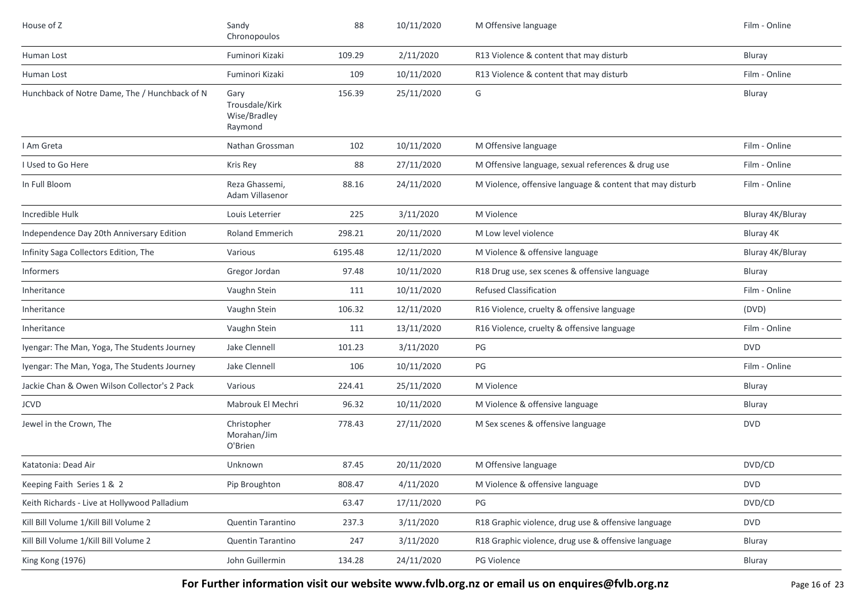| House of Z                                    | Sandy<br>Chronopoulos                             | 88      | 10/11/2020 | M Offensive language                                      | Film - Online    |
|-----------------------------------------------|---------------------------------------------------|---------|------------|-----------------------------------------------------------|------------------|
| Human Lost                                    | Fuminori Kizaki                                   | 109.29  | 2/11/2020  | R13 Violence & content that may disturb                   | Bluray           |
| Human Lost                                    | Fuminori Kizaki                                   | 109     | 10/11/2020 | R13 Violence & content that may disturb                   | Film - Online    |
| Hunchback of Notre Dame, The / Hunchback of N | Gary<br>Trousdale/Kirk<br>Wise/Bradley<br>Raymond | 156.39  | 25/11/2020 | G                                                         | Bluray           |
| I Am Greta                                    | Nathan Grossman                                   | 102     | 10/11/2020 | M Offensive language                                      | Film - Online    |
| I Used to Go Here                             | Kris Rey                                          | 88      | 27/11/2020 | M Offensive language, sexual references & drug use        | Film - Online    |
| In Full Bloom                                 | Reza Ghassemi,<br>Adam Villasenor                 | 88.16   | 24/11/2020 | M Violence, offensive language & content that may disturb | Film - Online    |
| Incredible Hulk                               | Louis Leterrier                                   | 225     | 3/11/2020  | M Violence                                                | Bluray 4K/Bluray |
| Independence Day 20th Anniversary Edition     | <b>Roland Emmerich</b>                            | 298.21  | 20/11/2020 | M Low level violence                                      | Bluray 4K        |
| Infinity Saga Collectors Edition, The         | Various                                           | 6195.48 | 12/11/2020 | M Violence & offensive language                           | Bluray 4K/Bluray |
| <b>Informers</b>                              | Gregor Jordan                                     | 97.48   | 10/11/2020 | R18 Drug use, sex scenes & offensive language             | Bluray           |
| Inheritance                                   | Vaughn Stein                                      | 111     | 10/11/2020 | <b>Refused Classification</b>                             | Film - Online    |
| Inheritance                                   | Vaughn Stein                                      | 106.32  | 12/11/2020 | R16 Violence, cruelty & offensive language                | (DVD)            |
| Inheritance                                   | Vaughn Stein                                      | 111     | 13/11/2020 | R16 Violence, cruelty & offensive language                | Film - Online    |
| Iyengar: The Man, Yoga, The Students Journey  | Jake Clennell                                     | 101.23  | 3/11/2020  | PG                                                        | <b>DVD</b>       |
| Iyengar: The Man, Yoga, The Students Journey  | Jake Clennell                                     | 106     | 10/11/2020 | PG                                                        | Film - Online    |
| Jackie Chan & Owen Wilson Collector's 2 Pack  | Various                                           | 224.41  | 25/11/2020 | M Violence                                                | Bluray           |
| <b>JCVD</b>                                   | Mabrouk El Mechri                                 | 96.32   | 10/11/2020 | M Violence & offensive language                           | Bluray           |
| Jewel in the Crown, The                       | Christopher<br>Morahan/Jim<br>O'Brien             | 778.43  | 27/11/2020 | M Sex scenes & offensive language                         | <b>DVD</b>       |
| Katatonia: Dead Air                           | Unknown                                           | 87.45   | 20/11/2020 | M Offensive language                                      | DVD/CD           |
| Keeping Faith Series 1 & 2                    | Pip Broughton                                     | 808.47  | 4/11/2020  | M Violence & offensive language                           | <b>DVD</b>       |
| Keith Richards - Live at Hollywood Palladium  |                                                   | 63.47   | 17/11/2020 | PG                                                        | DVD/CD           |
| Kill Bill Volume 1/Kill Bill Volume 2         | <b>Quentin Tarantino</b>                          | 237.3   | 3/11/2020  | R18 Graphic violence, drug use & offensive language       | <b>DVD</b>       |
| Kill Bill Volume 1/Kill Bill Volume 2         | Quentin Tarantino                                 | 247     | 3/11/2020  | R18 Graphic violence, drug use & offensive language       | Bluray           |
| King Kong (1976)                              | John Guillermin                                   | 134.28  | 24/11/2020 | PG Violence                                               | Bluray           |

For Further information visit our website www.fvlb.org.nz or email us on enquires@fvlb.org.nz<br>Page 16 of 23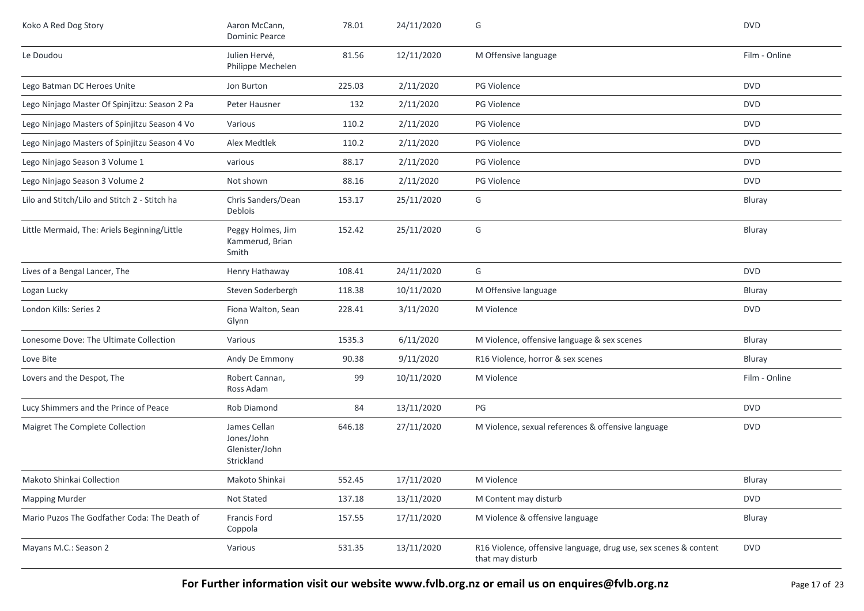| Koko A Red Dog Story                          | Aaron McCann,<br><b>Dominic Pearce</b>                     | 78.01  | 24/11/2020 | G                                                                                    | <b>DVD</b>    |
|-----------------------------------------------|------------------------------------------------------------|--------|------------|--------------------------------------------------------------------------------------|---------------|
| Le Doudou                                     | Julien Hervé,<br>Philippe Mechelen                         | 81.56  | 12/11/2020 | M Offensive language                                                                 | Film - Online |
| Lego Batman DC Heroes Unite                   | Jon Burton                                                 | 225.03 | 2/11/2020  | <b>PG Violence</b>                                                                   | <b>DVD</b>    |
| Lego Ninjago Master Of Spinjitzu: Season 2 Pa | Peter Hausner                                              | 132    | 2/11/2020  | <b>PG Violence</b>                                                                   | <b>DVD</b>    |
| Lego Ninjago Masters of Spinjitzu Season 4 Vo | Various                                                    | 110.2  | 2/11/2020  | <b>PG Violence</b>                                                                   | <b>DVD</b>    |
| Lego Ninjago Masters of Spinjitzu Season 4 Vo | Alex Medtlek                                               | 110.2  | 2/11/2020  | <b>PG Violence</b>                                                                   | <b>DVD</b>    |
| Lego Ninjago Season 3 Volume 1                | various                                                    | 88.17  | 2/11/2020  | <b>PG Violence</b>                                                                   | <b>DVD</b>    |
| Lego Ninjago Season 3 Volume 2                | Not shown                                                  | 88.16  | 2/11/2020  | PG Violence                                                                          | <b>DVD</b>    |
| Lilo and Stitch/Lilo and Stitch 2 - Stitch ha | Chris Sanders/Dean<br>Deblois                              | 153.17 | 25/11/2020 | G                                                                                    | Bluray        |
| Little Mermaid, The: Ariels Beginning/Little  | Peggy Holmes, Jim<br>Kammerud, Brian<br>Smith              | 152.42 | 25/11/2020 | G                                                                                    | Bluray        |
| Lives of a Bengal Lancer, The                 | Henry Hathaway                                             | 108.41 | 24/11/2020 | G                                                                                    | <b>DVD</b>    |
| Logan Lucky                                   | Steven Soderbergh                                          | 118.38 | 10/11/2020 | M Offensive language                                                                 | Bluray        |
| London Kills: Series 2                        | Fiona Walton, Sean<br>Glynn                                | 228.41 | 3/11/2020  | M Violence                                                                           | <b>DVD</b>    |
| Lonesome Dove: The Ultimate Collection        | Various                                                    | 1535.3 | 6/11/2020  | M Violence, offensive language & sex scenes                                          | Bluray        |
| Love Bite                                     | Andy De Emmony                                             | 90.38  | 9/11/2020  | R16 Violence, horror & sex scenes                                                    | Bluray        |
| Lovers and the Despot, The                    | Robert Cannan,<br>Ross Adam                                | 99     | 10/11/2020 | M Violence                                                                           | Film - Online |
| Lucy Shimmers and the Prince of Peace         | Rob Diamond                                                | 84     | 13/11/2020 | PG                                                                                   | <b>DVD</b>    |
| Maigret The Complete Collection               | James Cellan<br>Jones/John<br>Glenister/John<br>Strickland | 646.18 | 27/11/2020 | M Violence, sexual references & offensive language                                   | <b>DVD</b>    |
| Makoto Shinkai Collection                     | Makoto Shinkai                                             | 552.45 | 17/11/2020 | M Violence                                                                           | Bluray        |
| <b>Mapping Murder</b>                         | Not Stated                                                 | 137.18 | 13/11/2020 | M Content may disturb                                                                | <b>DVD</b>    |
| Mario Puzos The Godfather Coda: The Death of  | Francis Ford<br>Coppola                                    | 157.55 | 17/11/2020 | M Violence & offensive language                                                      | Bluray        |
| Mayans M.C.: Season 2                         | Various                                                    | 531.35 | 13/11/2020 | R16 Violence, offensive language, drug use, sex scenes & content<br>that may disturb | <b>DVD</b>    |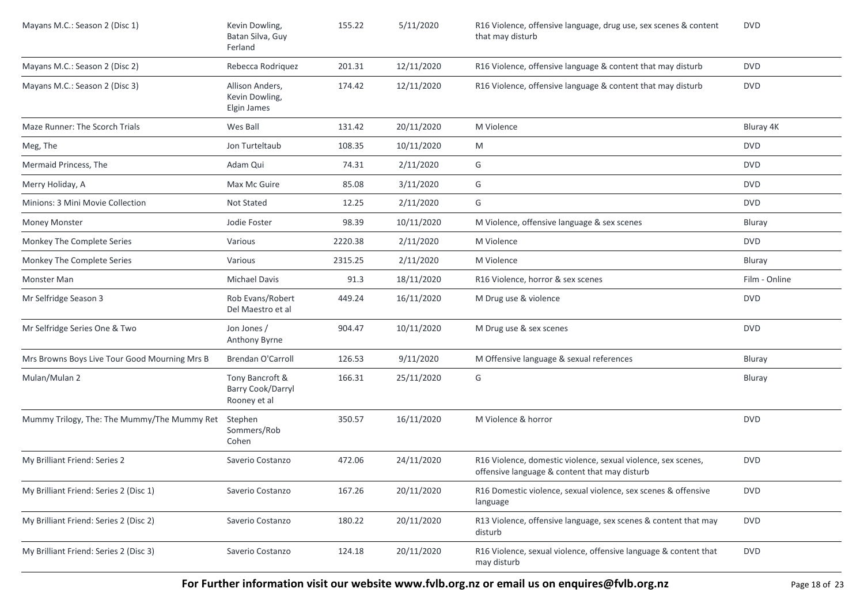| Mayans M.C.: Season 2 (Disc 1)                | Kevin Dowling,<br>Batan Silva, Guy<br>Ferland        | 155.22  | 5/11/2020  | R16 Violence, offensive language, drug use, sex scenes & content<br>that may disturb                           | <b>DVD</b>    |
|-----------------------------------------------|------------------------------------------------------|---------|------------|----------------------------------------------------------------------------------------------------------------|---------------|
| Mayans M.C.: Season 2 (Disc 2)                | Rebecca Rodriquez                                    | 201.31  | 12/11/2020 | R16 Violence, offensive language & content that may disturb                                                    | <b>DVD</b>    |
| Mayans M.C.: Season 2 (Disc 3)                | Allison Anders,<br>Kevin Dowling,<br>Elgin James     | 174.42  | 12/11/2020 | R16 Violence, offensive language & content that may disturb                                                    | <b>DVD</b>    |
| Maze Runner: The Scorch Trials                | Wes Ball                                             | 131.42  | 20/11/2020 | M Violence                                                                                                     | Bluray 4K     |
| Meg, The                                      | Jon Turteltaub                                       | 108.35  | 10/11/2020 | M                                                                                                              | <b>DVD</b>    |
| Mermaid Princess, The                         | Adam Qui                                             | 74.31   | 2/11/2020  | G                                                                                                              | <b>DVD</b>    |
| Merry Holiday, A                              | Max Mc Guire                                         | 85.08   | 3/11/2020  | G                                                                                                              | <b>DVD</b>    |
| Minions: 3 Mini Movie Collection              | Not Stated                                           | 12.25   | 2/11/2020  | G                                                                                                              | <b>DVD</b>    |
| <b>Money Monster</b>                          | Jodie Foster                                         | 98.39   | 10/11/2020 | M Violence, offensive language & sex scenes                                                                    | Bluray        |
| Monkey The Complete Series                    | Various                                              | 2220.38 | 2/11/2020  | M Violence                                                                                                     | <b>DVD</b>    |
| Monkey The Complete Series                    | Various                                              | 2315.25 | 2/11/2020  | M Violence                                                                                                     | Bluray        |
| Monster Man                                   | <b>Michael Davis</b>                                 | 91.3    | 18/11/2020 | R16 Violence, horror & sex scenes                                                                              | Film - Online |
| Mr Selfridge Season 3                         | Rob Evans/Robert<br>Del Maestro et al                | 449.24  | 16/11/2020 | M Drug use & violence                                                                                          | <b>DVD</b>    |
| Mr Selfridge Series One & Two                 | Jon Jones /<br>Anthony Byrne                         | 904.47  | 10/11/2020 | M Drug use & sex scenes                                                                                        | <b>DVD</b>    |
| Mrs Browns Boys Live Tour Good Mourning Mrs B | Brendan O'Carroll                                    | 126.53  | 9/11/2020  | M Offensive language & sexual references                                                                       | Bluray        |
| Mulan/Mulan 2                                 | Tony Bancroft &<br>Barry Cook/Darryl<br>Rooney et al | 166.31  | 25/11/2020 | G                                                                                                              | Bluray        |
| Mummy Trilogy, The: The Mummy/The Mummy Ret   | Stephen<br>Sommers/Rob<br>Cohen                      | 350.57  | 16/11/2020 | M Violence & horror                                                                                            | <b>DVD</b>    |
| My Brilliant Friend: Series 2                 | Saverio Costanzo                                     | 472.06  | 24/11/2020 | R16 Violence, domestic violence, sexual violence, sex scenes,<br>offensive language & content that may disturb | <b>DVD</b>    |
| My Brilliant Friend: Series 2 (Disc 1)        | Saverio Costanzo                                     | 167.26  | 20/11/2020 | R16 Domestic violence, sexual violence, sex scenes & offensive<br>language                                     | <b>DVD</b>    |
| My Brilliant Friend: Series 2 (Disc 2)        | Saverio Costanzo                                     | 180.22  | 20/11/2020 | R13 Violence, offensive language, sex scenes & content that may<br>disturb                                     | <b>DVD</b>    |
| My Brilliant Friend: Series 2 (Disc 3)        | Saverio Costanzo                                     | 124.18  | 20/11/2020 | R16 Violence, sexual violence, offensive language & content that<br>may disturb                                | <b>DVD</b>    |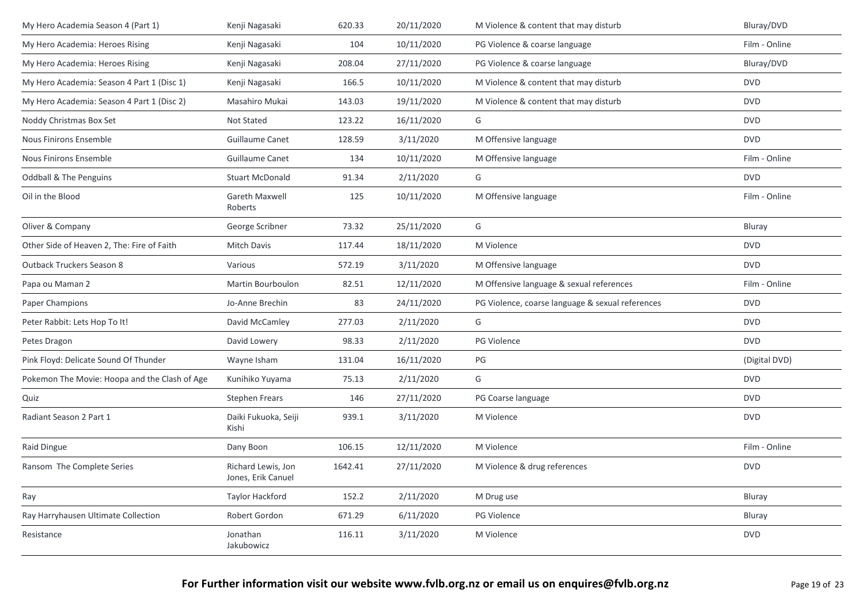| My Hero Academia Season 4 (Part 1)            | Kenji Nagasaki                           | 620.33  | 20/11/2020 | M Violence & content that may disturb            | Bluray/DVD    |
|-----------------------------------------------|------------------------------------------|---------|------------|--------------------------------------------------|---------------|
| My Hero Academia: Heroes Rising               | Kenji Nagasaki                           | 104     | 10/11/2020 | PG Violence & coarse language                    | Film - Online |
| My Hero Academia: Heroes Rising               | Kenji Nagasaki                           | 208.04  | 27/11/2020 | PG Violence & coarse language                    | Bluray/DVD    |
| My Hero Academia: Season 4 Part 1 (Disc 1)    | Kenji Nagasaki                           | 166.5   | 10/11/2020 | M Violence & content that may disturb            | <b>DVD</b>    |
| My Hero Academia: Season 4 Part 1 (Disc 2)    | Masahiro Mukai                           | 143.03  | 19/11/2020 | M Violence & content that may disturb            | <b>DVD</b>    |
| Noddy Christmas Box Set                       | Not Stated                               | 123.22  | 16/11/2020 | G                                                | <b>DVD</b>    |
| <b>Nous Finirons Ensemble</b>                 | Guillaume Canet                          | 128.59  | 3/11/2020  | M Offensive language                             | <b>DVD</b>    |
| Nous Finirons Ensemble                        | Guillaume Canet                          | 134     | 10/11/2020 | M Offensive language                             | Film - Online |
| <b>Oddball &amp; The Penguins</b>             | <b>Stuart McDonald</b>                   | 91.34   | 2/11/2020  | G                                                | <b>DVD</b>    |
| Oil in the Blood                              | Gareth Maxwell<br>Roberts                | 125     | 10/11/2020 | M Offensive language                             | Film - Online |
| Oliver & Company                              | George Scribner                          | 73.32   | 25/11/2020 | G                                                | Bluray        |
| Other Side of Heaven 2, The: Fire of Faith    | Mitch Davis                              | 117.44  | 18/11/2020 | M Violence                                       | <b>DVD</b>    |
| <b>Outback Truckers Season 8</b>              | Various                                  | 572.19  | 3/11/2020  | M Offensive language                             | <b>DVD</b>    |
| Papa ou Maman 2                               | Martin Bourboulon                        | 82.51   | 12/11/2020 | M Offensive language & sexual references         | Film - Online |
| Paper Champions                               | Jo-Anne Brechin                          | 83      | 24/11/2020 | PG Violence, coarse language & sexual references | <b>DVD</b>    |
| Peter Rabbit: Lets Hop To It!                 | David McCamley                           | 277.03  | 2/11/2020  | G                                                | <b>DVD</b>    |
| Petes Dragon                                  | David Lowery                             | 98.33   | 2/11/2020  | PG Violence                                      | <b>DVD</b>    |
| Pink Floyd: Delicate Sound Of Thunder         | Wayne Isham                              | 131.04  | 16/11/2020 | PG                                               | (Digital DVD) |
| Pokemon The Movie: Hoopa and the Clash of Age | Kunihiko Yuyama                          | 75.13   | 2/11/2020  | G                                                | <b>DVD</b>    |
| Quiz                                          | <b>Stephen Frears</b>                    | 146     | 27/11/2020 | PG Coarse language                               | <b>DVD</b>    |
| Radiant Season 2 Part 1                       | Daiki Fukuoka, Seiji<br>Kishi            | 939.1   | 3/11/2020  | M Violence                                       | <b>DVD</b>    |
| Raid Dingue                                   | Dany Boon                                | 106.15  | 12/11/2020 | M Violence                                       | Film - Online |
| Ransom The Complete Series                    | Richard Lewis, Jon<br>Jones, Erik Canuel | 1642.41 | 27/11/2020 | M Violence & drug references                     | <b>DVD</b>    |
| Ray                                           | Taylor Hackford                          | 152.2   | 2/11/2020  | M Drug use                                       | Bluray        |
| Ray Harryhausen Ultimate Collection           | Robert Gordon                            | 671.29  | 6/11/2020  | <b>PG Violence</b>                               | Bluray        |
| Resistance                                    | Jonathan<br>Jakubowicz                   | 116.11  | 3/11/2020  | M Violence                                       | <b>DVD</b>    |
|                                               |                                          |         |            |                                                  |               |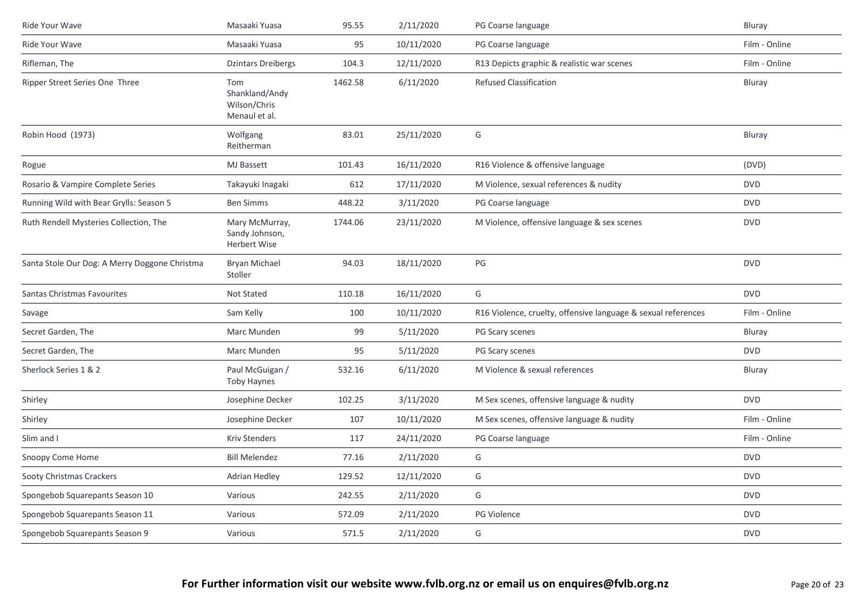| Ride Your Wave                                | Masaaki Yuasa                                          | 95.55   | 2/11/2020  | PG Coarse language                                            | Bluray        |
|-----------------------------------------------|--------------------------------------------------------|---------|------------|---------------------------------------------------------------|---------------|
| Ride Your Wave                                | Masaaki Yuasa                                          | 95      | 10/11/2020 | PG Coarse language                                            | Film - Online |
| Rifleman, The                                 | <b>Dzintars Dreibergs</b>                              | 104.3   | 12/11/2020 | R13 Depicts graphic & realistic war scenes                    | Film - Online |
| Ripper Street Series One Three                | Tom<br>Shankland/Andy<br>Wilson/Chris<br>Menaul et al. | 1462.58 | 6/11/2020  | Refused Classification                                        | Bluray        |
| Robin Hood (1973)                             | Wolfgang<br>Reitherman                                 | 83.01   | 25/11/2020 | G                                                             | Bluray        |
| Rogue                                         | MJ Bassett                                             | 101.43  | 16/11/2020 | R16 Violence & offensive language                             | (DVD)         |
| Rosario & Vampire Complete Series             | Takayuki Inagaki                                       | 612     | 17/11/2020 | M Violence, sexual references & nudity                        | <b>DVD</b>    |
| Running Wild with Bear Grylls: Season 5       | <b>Ben Simms</b>                                       | 448.22  | 3/11/2020  | PG Coarse language                                            | <b>DVD</b>    |
| Ruth Rendell Mysteries Collection, The        | Mary McMurray,<br>Sandy Johnson,<br>Herbert Wise       | 1744.06 | 23/11/2020 | M Violence, offensive language & sex scenes                   | <b>DVD</b>    |
| Santa Stole Our Dog: A Merry Doggone Christma | <b>Bryan Michael</b><br>Stoller                        | 94.03   | 18/11/2020 | $PG$                                                          | <b>DVD</b>    |
| Santas Christmas Favourites                   | Not Stated                                             | 110.18  | 16/11/2020 | G                                                             | <b>DVD</b>    |
| Savage                                        | Sam Kelly                                              | 100     | 10/11/2020 | R16 Violence, cruelty, offensive language & sexual references | Film - Online |
| Secret Garden, The                            | Marc Munden                                            | 99      | 5/11/2020  | PG Scary scenes                                               | Bluray        |
| Secret Garden, The                            | Marc Munden                                            | 95      | 5/11/2020  | PG Scary scenes                                               | <b>DVD</b>    |
| Sherlock Series 1 & 2                         | Paul McGuigan /<br><b>Toby Haynes</b>                  | 532.16  | 6/11/2020  | M Violence & sexual references                                | Bluray        |
| Shirley                                       | Josephine Decker                                       | 102.25  | 3/11/2020  | M Sex scenes, offensive language & nudity                     | <b>DVD</b>    |
| Shirley                                       | Josephine Decker                                       | 107     | 10/11/2020 | M Sex scenes, offensive language & nudity                     | Film - Online |
| Slim and I                                    | <b>Kriv Stenders</b>                                   | 117     | 24/11/2020 | PG Coarse language                                            | Film - Online |
| Snoopy Come Home                              | <b>Bill Melendez</b>                                   | 77.16   | 2/11/2020  | G                                                             | <b>DVD</b>    |
| Sooty Christmas Crackers                      | Adrian Hedley                                          | 129.52  | 12/11/2020 | G                                                             | <b>DVD</b>    |
| Spongebob Squarepants Season 10               | Various                                                | 242.55  | 2/11/2020  | G                                                             | <b>DVD</b>    |
| Spongebob Squarepants Season 11               | Various                                                | 572.09  | 2/11/2020  | PG Violence                                                   | <b>DVD</b>    |
| Spongebob Squarepants Season 9                | Various                                                | 571.5   | 2/11/2020  | G                                                             | <b>DVD</b>    |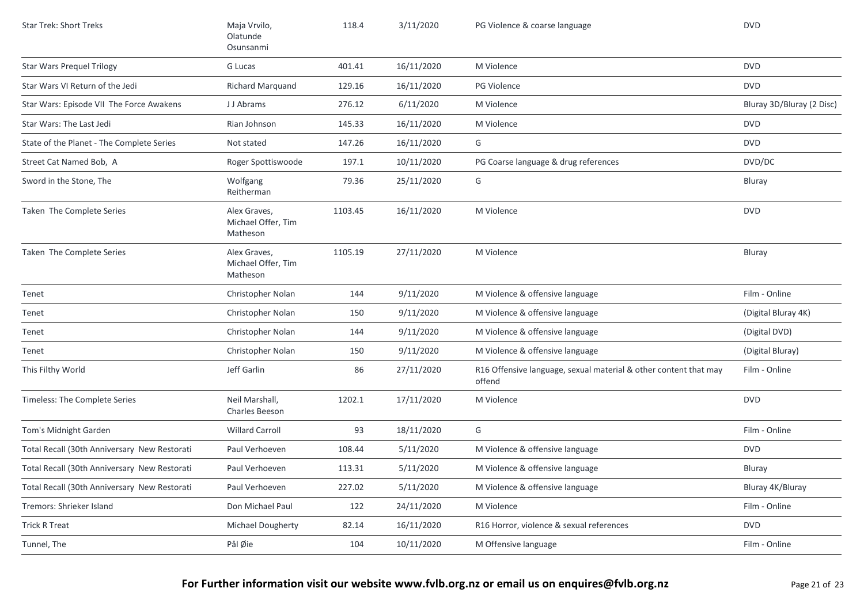| <b>Star Trek: Short Treks</b>                | Maja Vrvilo,<br>Olatunde<br>Osunsanmi          | 118.4   | 3/11/2020  | PG Violence & coarse language                                              | <b>DVD</b>                |
|----------------------------------------------|------------------------------------------------|---------|------------|----------------------------------------------------------------------------|---------------------------|
| <b>Star Wars Prequel Trilogy</b>             | G Lucas                                        | 401.41  | 16/11/2020 | M Violence                                                                 | <b>DVD</b>                |
| Star Wars VI Return of the Jedi              | Richard Marquand                               | 129.16  | 16/11/2020 | <b>PG Violence</b>                                                         | <b>DVD</b>                |
| Star Wars: Episode VII The Force Awakens     | J J Abrams                                     | 276.12  | 6/11/2020  | M Violence                                                                 | Bluray 3D/Bluray (2 Disc) |
| Star Wars: The Last Jedi                     | Rian Johnson                                   | 145.33  | 16/11/2020 | M Violence                                                                 | <b>DVD</b>                |
| State of the Planet - The Complete Series    | Not stated                                     | 147.26  | 16/11/2020 | G                                                                          | <b>DVD</b>                |
| Street Cat Named Bob, A                      | Roger Spottiswoode                             | 197.1   | 10/11/2020 | PG Coarse language & drug references                                       | DVD/DC                    |
| Sword in the Stone, The                      | Wolfgang<br>Reitherman                         | 79.36   | 25/11/2020 | G                                                                          | Bluray                    |
| Taken The Complete Series                    | Alex Graves,<br>Michael Offer, Tim<br>Matheson | 1103.45 | 16/11/2020 | M Violence                                                                 | <b>DVD</b>                |
| Taken The Complete Series                    | Alex Graves,<br>Michael Offer, Tim<br>Matheson | 1105.19 | 27/11/2020 | M Violence                                                                 | Bluray                    |
| Tenet                                        | Christopher Nolan                              | 144     | 9/11/2020  | M Violence & offensive language                                            | Film - Online             |
| Tenet                                        | Christopher Nolan                              | 150     | 9/11/2020  | M Violence & offensive language                                            | (Digital Bluray 4K)       |
| Tenet                                        | Christopher Nolan                              | 144     | 9/11/2020  | M Violence & offensive language                                            | (Digital DVD)             |
| Tenet                                        | Christopher Nolan                              | 150     | 9/11/2020  | M Violence & offensive language                                            | (Digital Bluray)          |
| This Filthy World                            | Jeff Garlin                                    | 86      | 27/11/2020 | R16 Offensive language, sexual material & other content that may<br>offend | Film - Online             |
| Timeless: The Complete Series                | Neil Marshall,<br><b>Charles Beeson</b>        | 1202.1  | 17/11/2020 | M Violence                                                                 | <b>DVD</b>                |
| Tom's Midnight Garden                        | <b>Willard Carroll</b>                         | 93      | 18/11/2020 | G                                                                          | Film - Online             |
| Total Recall (30th Anniversary New Restorati | Paul Verhoeven                                 | 108.44  | 5/11/2020  | M Violence & offensive language                                            | <b>DVD</b>                |
| Total Recall (30th Anniversary New Restorati | Paul Verhoeven                                 | 113.31  | 5/11/2020  | M Violence & offensive language                                            | Bluray                    |
| Total Recall (30th Anniversary New Restorati | Paul Verhoeven                                 | 227.02  | 5/11/2020  | M Violence & offensive language                                            | Bluray 4K/Bluray          |
| Tremors: Shrieker Island                     | Don Michael Paul                               | 122     | 24/11/2020 | M Violence                                                                 | Film - Online             |
| <b>Trick R Treat</b>                         | Michael Dougherty                              | 82.14   | 16/11/2020 | R16 Horror, violence & sexual references                                   | <b>DVD</b>                |
| Tunnel, The                                  | Pål Øie                                        | 104     | 10/11/2020 | M Offensive language                                                       | Film - Online             |
|                                              |                                                |         |            |                                                                            |                           |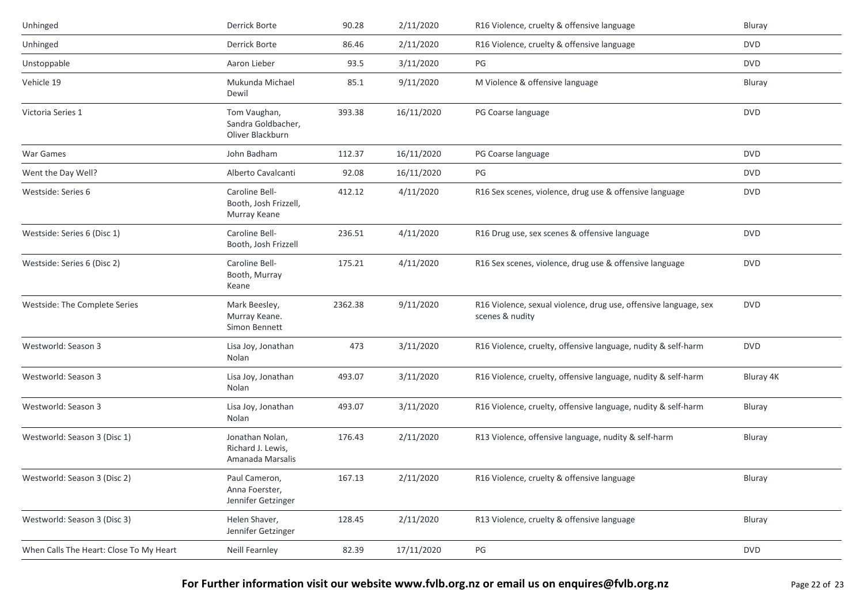| Unhinged                                | Derrick Borte                                            | 90.28   | 2/11/2020  | R16 Violence, cruelty & offensive language                                          | Bluray     |
|-----------------------------------------|----------------------------------------------------------|---------|------------|-------------------------------------------------------------------------------------|------------|
| Unhinged                                | <b>Derrick Borte</b>                                     | 86.46   | 2/11/2020  | R16 Violence, cruelty & offensive language                                          | <b>DVD</b> |
| Unstoppable                             | Aaron Lieber                                             | 93.5    | 3/11/2020  | PG                                                                                  | <b>DVD</b> |
| Vehicle 19                              | Mukunda Michael<br>Dewil                                 | 85.1    | 9/11/2020  | M Violence & offensive language                                                     | Bluray     |
| Victoria Series 1                       | Tom Vaughan,<br>Sandra Goldbacher,<br>Oliver Blackburn   | 393.38  | 16/11/2020 | PG Coarse language                                                                  | <b>DVD</b> |
| War Games                               | John Badham                                              | 112.37  | 16/11/2020 | PG Coarse language                                                                  | <b>DVD</b> |
| Went the Day Well?                      | Alberto Cavalcanti                                       | 92.08   | 16/11/2020 | PG                                                                                  | <b>DVD</b> |
| Westside: Series 6                      | Caroline Bell-<br>Booth, Josh Frizzell,<br>Murray Keane  | 412.12  | 4/11/2020  | R16 Sex scenes, violence, drug use & offensive language                             | <b>DVD</b> |
| Westside: Series 6 (Disc 1)             | Caroline Bell-<br>Booth, Josh Frizzell                   | 236.51  | 4/11/2020  | R16 Drug use, sex scenes & offensive language                                       | <b>DVD</b> |
| Westside: Series 6 (Disc 2)             | Caroline Bell-<br>Booth, Murray<br>Keane                 | 175.21  | 4/11/2020  | R16 Sex scenes, violence, drug use & offensive language                             | <b>DVD</b> |
| Westside: The Complete Series           | Mark Beesley,<br>Murray Keane.<br>Simon Bennett          | 2362.38 | 9/11/2020  | R16 Violence, sexual violence, drug use, offensive language, sex<br>scenes & nudity | <b>DVD</b> |
| Westworld: Season 3                     | Lisa Joy, Jonathan<br>Nolan                              | 473     | 3/11/2020  | R16 Violence, cruelty, offensive language, nudity & self-harm                       | <b>DVD</b> |
| Westworld: Season 3                     | Lisa Joy, Jonathan<br>Nolan                              | 493.07  | 3/11/2020  | R16 Violence, cruelty, offensive language, nudity & self-harm                       | Bluray 4K  |
| Westworld: Season 3                     | Lisa Joy, Jonathan<br>Nolan                              | 493.07  | 3/11/2020  | R16 Violence, cruelty, offensive language, nudity & self-harm                       | Bluray     |
| Westworld: Season 3 (Disc 1)            | Jonathan Nolan,<br>Richard J. Lewis,<br>Amanada Marsalis | 176.43  | 2/11/2020  | R13 Violence, offensive language, nudity & self-harm                                | Bluray     |
| Westworld: Season 3 (Disc 2)            | Paul Cameron,<br>Anna Foerster,<br>Jennifer Getzinger    | 167.13  | 2/11/2020  | R16 Violence, cruelty & offensive language                                          | Bluray     |
| Westworld: Season 3 (Disc 3)            | Helen Shaver,<br>Jennifer Getzinger                      | 128.45  | 2/11/2020  | R13 Violence, cruelty & offensive language                                          | Bluray     |
| When Calls The Heart: Close To My Heart | Neill Fearnley                                           | 82.39   | 17/11/2020 | PG                                                                                  | <b>DVD</b> |